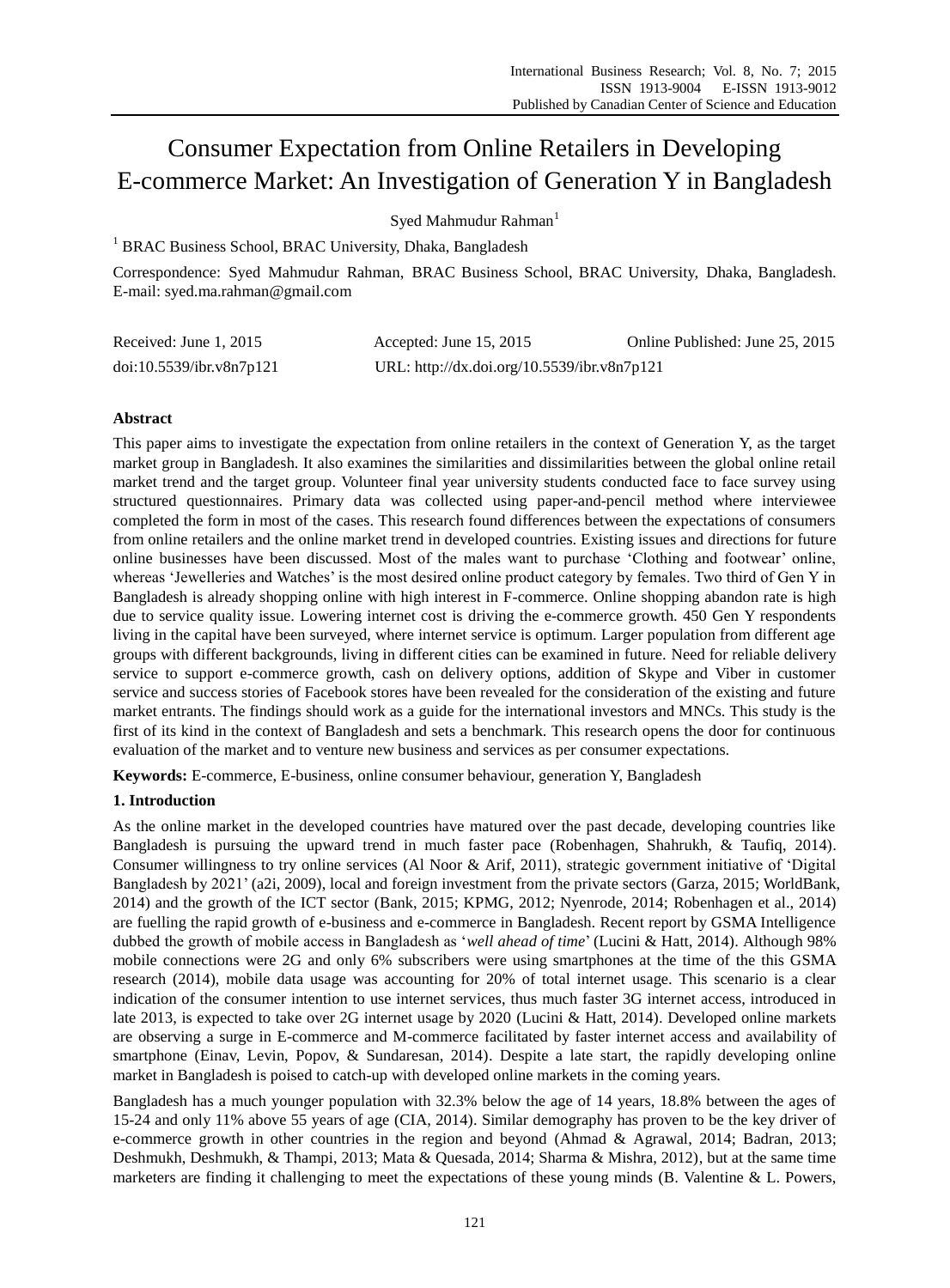# Consumer Expectation from Online Retailers in Developing E-commerce Market: An Investigation of Generation Y in Bangladesh

Syed Mahmudur Rahman<sup>1</sup>

<sup>1</sup> BRAC Business School, BRAC University, Dhaka, Bangladesh

Correspondence: Syed Mahmudur Rahman, BRAC Business School, BRAC University, Dhaka, Bangladesh. E-mail: syed.ma.rahman@gmail.com

| Received: June $1, 2015$ | Accepted: June $15, 2015$                   | Online Published: June 25, 2015 |
|--------------------------|---------------------------------------------|---------------------------------|
| doi:10.5539/ibr.v8n7p121 | URL: http://dx.doi.org/10.5539/ibr.v8n7p121 |                                 |

# **Abstract**

This paper aims to investigate the expectation from online retailers in the context of Generation Y, as the target market group in Bangladesh. It also examines the similarities and dissimilarities between the global online retail market trend and the target group. Volunteer final year university students conducted face to face survey using structured questionnaires. Primary data was collected using paper-and-pencil method where interviewee completed the form in most of the cases. This research found differences between the expectations of consumers from online retailers and the online market trend in developed countries. Existing issues and directions for future online businesses have been discussed. Most of the males want to purchase 'Clothing and footwear' online, whereas 'Jewelleries and Watches' is the most desired online product category by females. Two third of Gen Y in Bangladesh is already shopping online with high interest in F-commerce. Online shopping abandon rate is high due to service quality issue. Lowering internet cost is driving the e-commerce growth. 450 Gen Y respondents living in the capital have been surveyed, where internet service is optimum. Larger population from different age groups with different backgrounds, living in different cities can be examined in future. Need for reliable delivery service to support e-commerce growth, cash on delivery options, addition of Skype and Viber in customer service and success stories of Facebook stores have been revealed for the consideration of the existing and future market entrants. The findings should work as a guide for the international investors and MNCs. This study is the first of its kind in the context of Bangladesh and sets a benchmark. This research opens the door for continuous evaluation of the market and to venture new business and services as per consumer expectations.

**Keywords:** E-commerce, E-business, online consumer behaviour, generation Y, Bangladesh

# **1. Introduction**

As the online market in the developed countries have matured over the past decade, developing countries like Bangladesh is pursuing the upward trend in much faster pace (Robenhagen, Shahrukh, & Taufiq, 2014). Consumer willingness to try online services (Al Noor & Arif, 2011), strategic government initiative of 'Digital Bangladesh by 2021' (a2i, 2009), local and foreign investment from the private sectors (Garza, 2015; WorldBank, 2014) and the growth of the ICT sector (Bank, 2015; KPMG, 2012; Nyenrode, 2014; Robenhagen et al., 2014) are fuelling the rapid growth of e-business and e-commerce in Bangladesh. Recent report by GSMA Intelligence dubbed the growth of mobile access in Bangladesh as '*well ahead of time*' (Lucini & Hatt, 2014). Although 98% mobile connections were 2G and only 6% subscribers were using smartphones at the time of the this GSMA research (2014), mobile data usage was accounting for 20% of total internet usage. This scenario is a clear indication of the consumer intention to use internet services, thus much faster 3G internet access, introduced in late 2013, is expected to take over 2G internet usage by 2020 (Lucini & Hatt, 2014). Developed online markets are observing a surge in E-commerce and M-commerce facilitated by faster internet access and availability of smartphone (Einav, Levin, Popov, & Sundaresan, 2014). Despite a late start, the rapidly developing online market in Bangladesh is poised to catch-up with developed online markets in the coming years.

Bangladesh has a much younger population with 32.3% below the age of 14 years, 18.8% between the ages of 15-24 and only 11% above 55 years of age (CIA, 2014). Similar demography has proven to be the key driver of e-commerce growth in other countries in the region and beyond (Ahmad & Agrawal, 2014; Badran, 2013; Deshmukh, Deshmukh, & Thampi, 2013; Mata & Quesada, 2014; Sharma & Mishra, 2012), but at the same time marketers are finding it challenging to meet the expectations of these young minds (B. Valentine & L. Powers,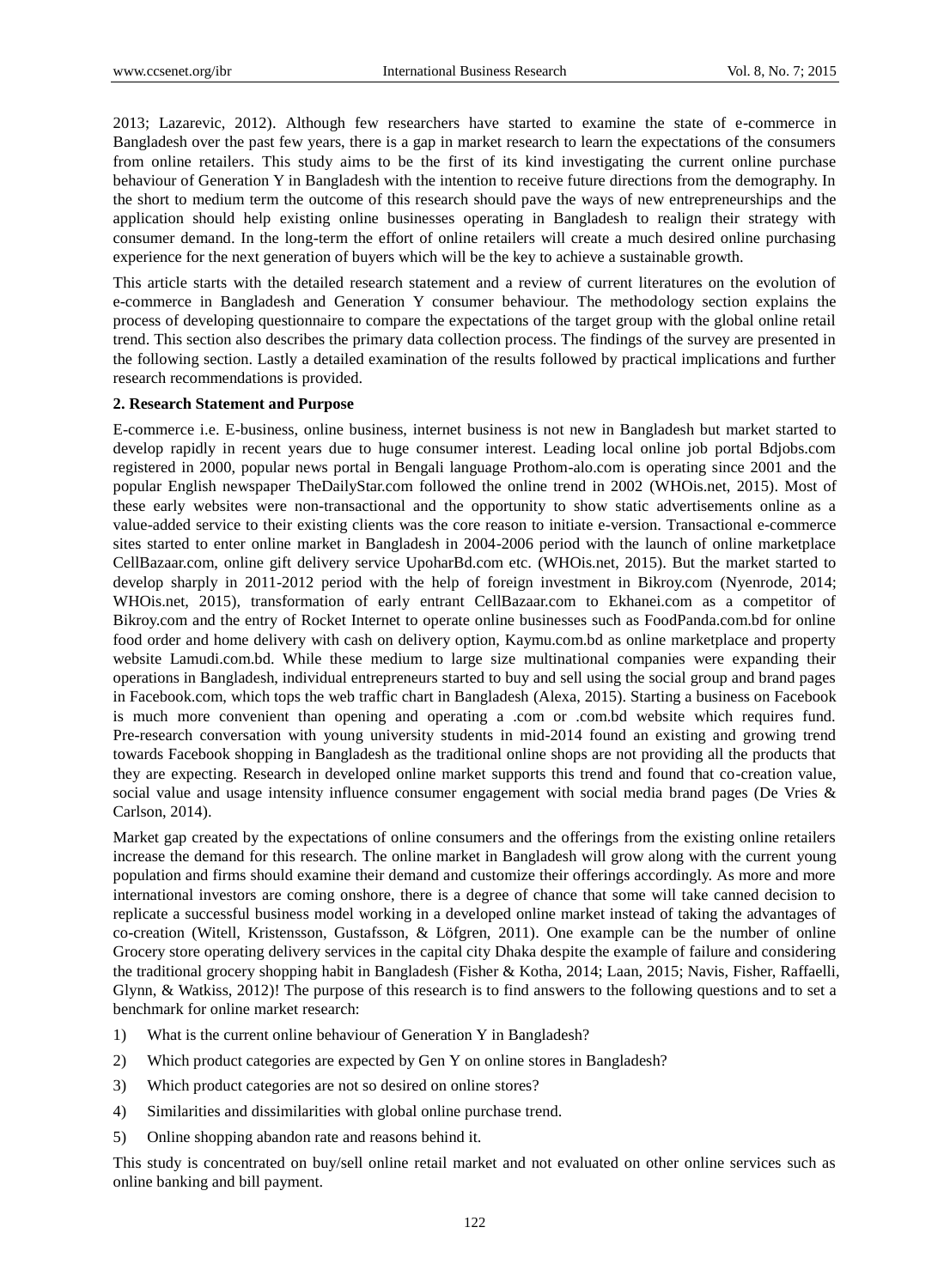2013; Lazarevic, 2012). Although few researchers have started to examine the state of e-commerce in Bangladesh over the past few years, there is a gap in market research to learn the expectations of the consumers from online retailers. This study aims to be the first of its kind investigating the current online purchase behaviour of Generation Y in Bangladesh with the intention to receive future directions from the demography. In the short to medium term the outcome of this research should pave the ways of new entrepreneurships and the application should help existing online businesses operating in Bangladesh to realign their strategy with consumer demand. In the long-term the effort of online retailers will create a much desired online purchasing experience for the next generation of buyers which will be the key to achieve a sustainable growth.

This article starts with the detailed research statement and a review of current literatures on the evolution of e-commerce in Bangladesh and Generation Y consumer behaviour. The methodology section explains the process of developing questionnaire to compare the expectations of the target group with the global online retail trend. This section also describes the primary data collection process. The findings of the survey are presented in the following section. Lastly a detailed examination of the results followed by practical implications and further research recommendations is provided.

#### **2. Research Statement and Purpose**

E-commerce i.e. E-business, online business, internet business is not new in Bangladesh but market started to develop rapidly in recent years due to huge consumer interest. Leading local online job portal Bdjobs.com registered in 2000, popular news portal in Bengali language Prothom-alo.com is operating since 2001 and the popular English newspaper TheDailyStar.com followed the online trend in 2002 (WHOis.net, 2015). Most of these early websites were non-transactional and the opportunity to show static advertisements online as a value-added service to their existing clients was the core reason to initiate e-version. Transactional e-commerce sites started to enter online market in Bangladesh in 2004-2006 period with the launch of online marketplace CellBazaar.com, online gift delivery service UpoharBd.com etc. (WHOis.net, 2015). But the market started to develop sharply in 2011-2012 period with the help of foreign investment in Bikroy.com (Nyenrode, 2014; WHOis.net, 2015), transformation of early entrant CellBazaar.com to Ekhanei.com as a competitor of Bikroy.com and the entry of Rocket Internet to operate online businesses such as FoodPanda.com.bd for online food order and home delivery with cash on delivery option, Kaymu.com.bd as online marketplace and property website Lamudi.com.bd. While these medium to large size multinational companies were expanding their operations in Bangladesh, individual entrepreneurs started to buy and sell using the social group and brand pages in Facebook.com, which tops the web traffic chart in Bangladesh (Alexa, 2015). Starting a business on Facebook is much more convenient than opening and operating a .com or .com.bd website which requires fund. Pre-research conversation with young university students in mid-2014 found an existing and growing trend towards Facebook shopping in Bangladesh as the traditional online shops are not providing all the products that they are expecting. Research in developed online market supports this trend and found that co-creation value, social value and usage intensity influence consumer engagement with social media brand pages (De Vries & Carlson, 2014).

Market gap created by the expectations of online consumers and the offerings from the existing online retailers increase the demand for this research. The online market in Bangladesh will grow along with the current young population and firms should examine their demand and customize their offerings accordingly. As more and more international investors are coming onshore, there is a degree of chance that some will take canned decision to replicate a successful business model working in a developed online market instead of taking the advantages of co-creation (Witell, Kristensson, Gustafsson, & Löfgren, 2011). One example can be the number of online Grocery store operating delivery services in the capital city Dhaka despite the example of failure and considering the traditional grocery shopping habit in Bangladesh (Fisher & Kotha, 2014; Laan, 2015; Navis, Fisher, Raffaelli, Glynn, & Watkiss, 2012)! The purpose of this research is to find answers to the following questions and to set a benchmark for online market research:

- 1) What is the current online behaviour of Generation Y in Bangladesh?
- 2) Which product categories are expected by Gen Y on online stores in Bangladesh?
- 3) Which product categories are not so desired on online stores?
- 4) Similarities and dissimilarities with global online purchase trend.
- 5) Online shopping abandon rate and reasons behind it.

This study is concentrated on buy/sell online retail market and not evaluated on other online services such as online banking and bill payment.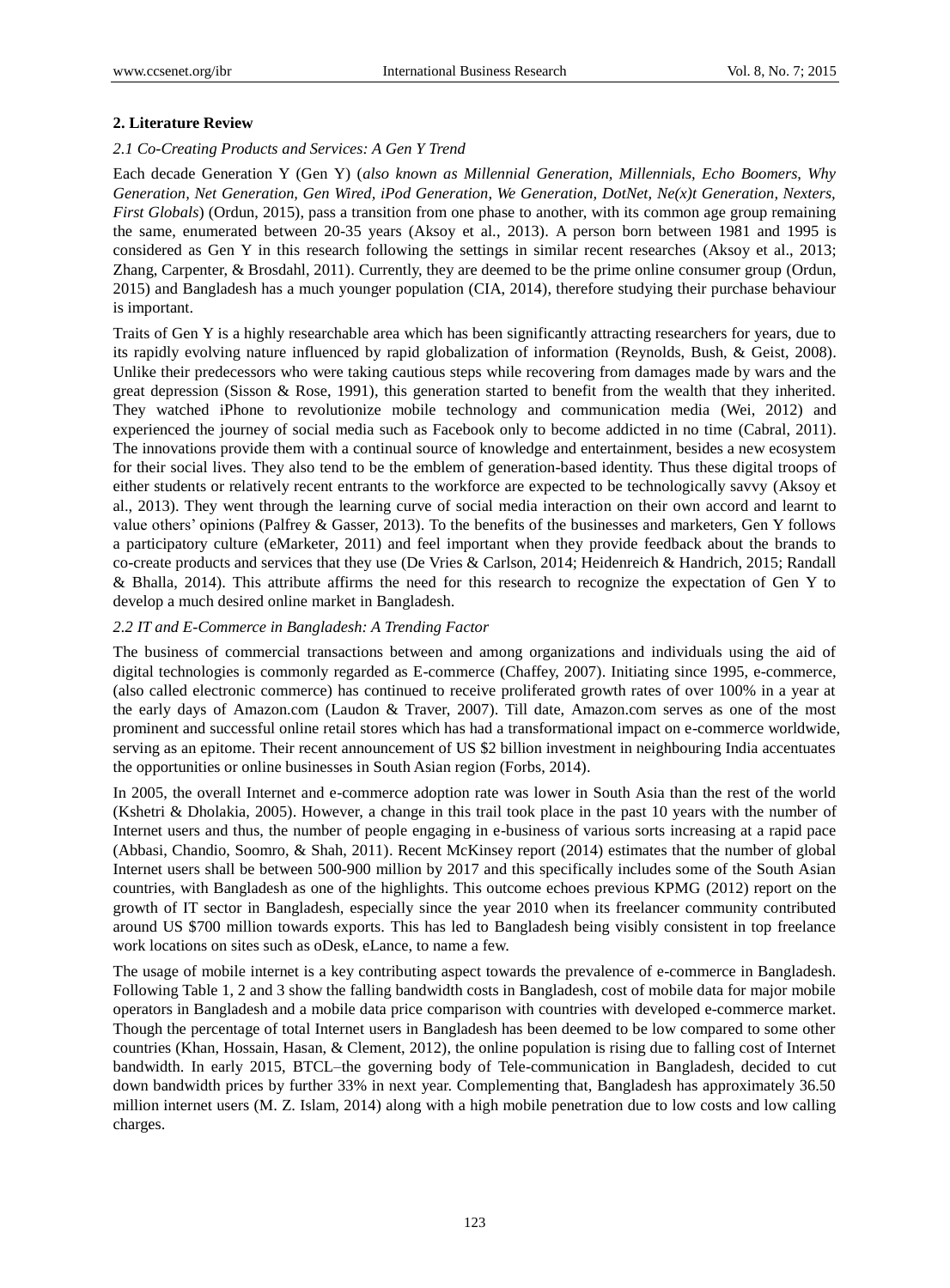# **2. Literature Review**

# *2.1 Co-Creating Products and Services: A Gen Y Trend*

Each decade Generation Y (Gen Y) (*also known as Millennial Generation, Millennials, Echo Boomers, Why Generation, Net Generation, Gen Wired, iPod Generation, We Generation, DotNet, Ne(x)t Generation, Nexters, First Globals*) (Ordun, 2015), pass a transition from one phase to another, with its common age group remaining the same, enumerated between 20-35 years (Aksoy et al., 2013). A person born between 1981 and 1995 is considered as Gen Y in this research following the settings in similar recent researches (Aksoy et al., 2013; Zhang, Carpenter, & Brosdahl, 2011). Currently, they are deemed to be the prime online consumer group (Ordun, 2015) and Bangladesh has a much younger population (CIA, 2014), therefore studying their purchase behaviour is important.

Traits of Gen Y is a highly researchable area which has been significantly attracting researchers for years, due to its rapidly evolving nature influenced by rapid globalization of information (Reynolds, Bush, & Geist, 2008). Unlike their predecessors who were taking cautious steps while recovering from damages made by wars and the great depression (Sisson & Rose, 1991), this generation started to benefit from the wealth that they inherited. They watched iPhone to revolutionize mobile technology and communication media (Wei, 2012) and experienced the journey of social media such as Facebook only to become addicted in no time (Cabral, 2011). The innovations provide them with a continual source of knowledge and entertainment, besides a new ecosystem for their social lives. They also tend to be the emblem of generation-based identity. Thus these digital troops of either students or relatively recent entrants to the workforce are expected to be technologically savvy (Aksoy et al., 2013). They went through the learning curve of social media interaction on their own accord and learnt to value others' opinions (Palfrey & Gasser, 2013). To the benefits of the businesses and marketers, Gen Y follows a participatory culture (eMarketer, 2011) and feel important when they provide feedback about the brands to co-create products and services that they use (De Vries & Carlson, 2014; Heidenreich & Handrich, 2015; Randall & Bhalla, 2014). This attribute affirms the need for this research to recognize the expectation of Gen Y to develop a much desired online market in Bangladesh.

# *2.2 IT and E-Commerce in Bangladesh: A Trending Factor*

The business of commercial transactions between and among organizations and individuals using the aid of digital technologies is commonly regarded as E-commerce (Chaffey, 2007). Initiating since 1995, e-commerce, (also called electronic commerce) has continued to receive proliferated growth rates of over 100% in a year at the early days of Amazon.com (Laudon & Traver, 2007). Till date, Amazon.com serves as one of the most prominent and successful online retail stores which has had a transformational impact on e-commerce worldwide, serving as an epitome. Their recent announcement of US \$2 billion investment in neighbouring India accentuates the opportunities or online businesses in South Asian region (Forbs, 2014).

In 2005, the overall Internet and e-commerce adoption rate was lower in South Asia than the rest of the world (Kshetri & Dholakia, 2005). However, a change in this trail took place in the past 10 years with the number of Internet users and thus, the number of people engaging in e-business of various sorts increasing at a rapid pace (Abbasi, Chandio, Soomro, & Shah, 2011). Recent McKinsey report (2014) estimates that the number of global Internet users shall be between 500-900 million by 2017 and this specifically includes some of the South Asian countries, with Bangladesh as one of the highlights. This outcome echoes previous KPMG (2012) report on the growth of IT sector in Bangladesh, especially since the year 2010 when its freelancer community contributed around US \$700 million towards exports. This has led to Bangladesh being visibly consistent in top freelance work locations on sites such as oDesk, eLance, to name a few.

The usage of mobile internet is a key contributing aspect towards the prevalence of e-commerce in Bangladesh. Following Table 1, 2 and 3 show the falling bandwidth costs in Bangladesh, cost of mobile data for major mobile operators in Bangladesh and a mobile data price comparison with countries with developed e-commerce market. Though the percentage of total Internet users in Bangladesh has been deemed to be low compared to some other countries (Khan, Hossain, Hasan, & Clement, 2012), the online population is rising due to falling cost of Internet bandwidth. In early 2015, BTCL–the governing body of Tele-communication in Bangladesh, decided to cut down bandwidth prices by further 33% in next year. Complementing that, Bangladesh has approximately 36.50 million internet users (M. Z. Islam, 2014) along with a high mobile penetration due to low costs and low calling charges.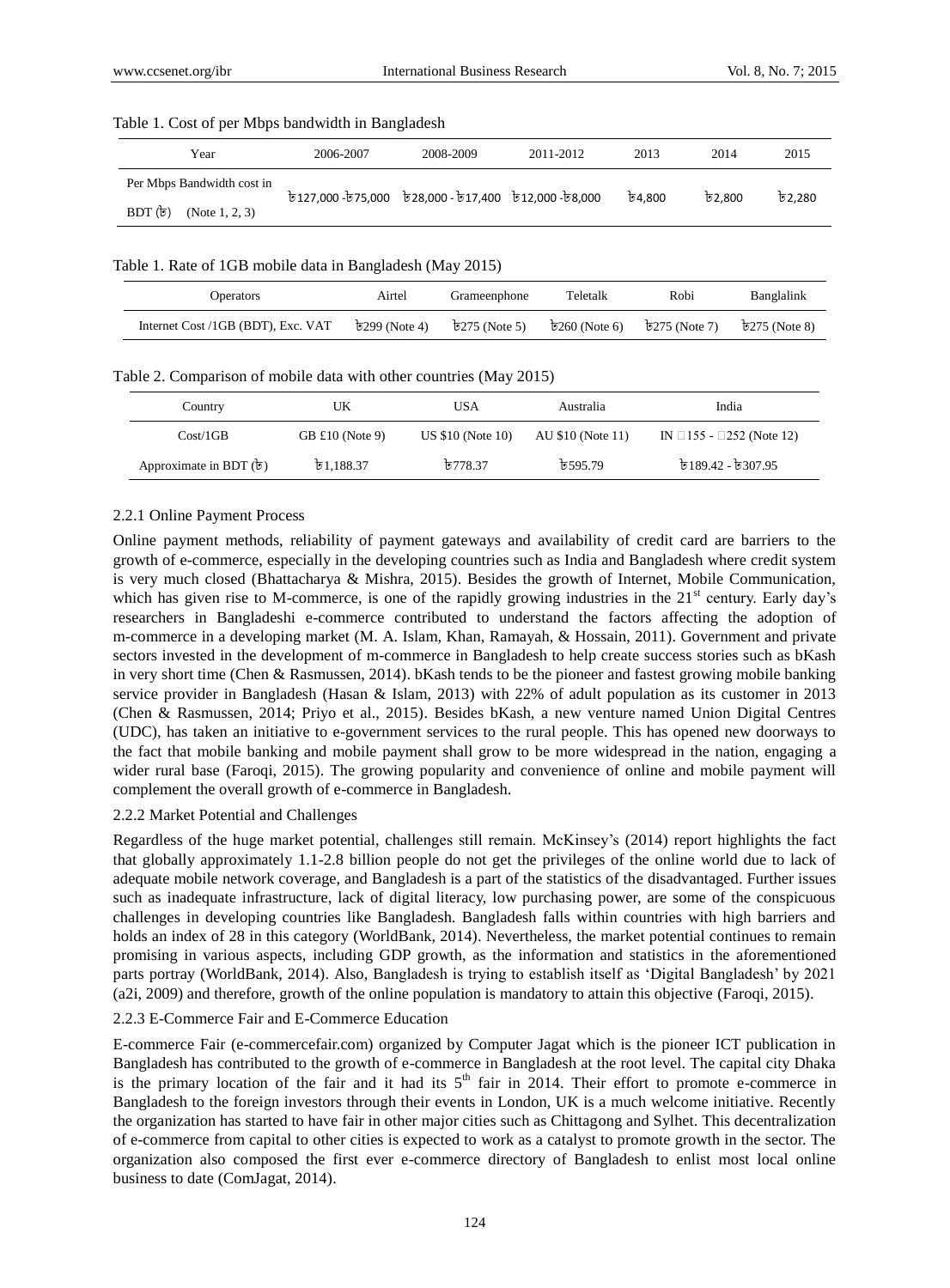| Year                       | 2006-2007                                       | 2008-2009 | 2011-2012 | 2013   | 2014   | 2015                 |
|----------------------------|-------------------------------------------------|-----------|-----------|--------|--------|----------------------|
| Per Mbps Bandwidth cost in | ৳127.000 ৳75.000 ৳28.000 b17.400 ৳12.000 ৳8.000 |           |           |        |        |                      |
| BDT(f)<br>(Note 1, 2, 3)   |                                                 |           |           | ৳4.800 | ৳2.800 | $\overline{5}$ 2.280 |

### Table 1. Cost of per Mbps bandwidth in Bangladesh

### Table 1. Rate of 1GB mobile data in Bangladesh (May 2015)

| <b>Operators</b>                   | Airtel                 | Grameenphone               | Teletalk                 | Robi                       | <b>Banglalink</b>      |
|------------------------------------|------------------------|----------------------------|--------------------------|----------------------------|------------------------|
| Internet Cost /1GB (BDT), Exc. VAT | $\frac{1}{2}$ (Note 4) | $\overline{5275}$ (Note 5) | $\frac{1}{260}$ (Note 6) | $\overline{5275}$ (Note 7) | $\frac{1}{2}$ (Note 8) |

#### Table 2. Comparison of mobile data with other countries (May 2015)

| Country                             | USA<br>UΚ              |                       | Australia         | India                                |
|-------------------------------------|------------------------|-----------------------|-------------------|--------------------------------------|
| Cost/1GB                            | GB £10 (Note 9)        | US $$10$ (Note $10$ ) | AU \$10 (Note 11) | IN $\Box$ 155 - $\Box$ 252 (Note 12) |
| Approximate in BDT $(\overline{b})$ | $\overline{5}1.188.37$ | ৳778.37               | ৳595.79           | ট189.42 - ট307.95                    |

### 2.2.1 Online Payment Process

Online payment methods, reliability of payment gateways and availability of credit card are barriers to the growth of e-commerce, especially in the developing countries such as India and Bangladesh where credit system is very much closed (Bhattacharya & Mishra, 2015). Besides the growth of Internet, Mobile Communication, which has given rise to M-commerce, is one of the rapidly growing industries in the  $21<sup>st</sup>$  century. Early day's researchers in Bangladeshi e-commerce contributed to understand the factors affecting the adoption of m-commerce in a developing market (M. A. Islam, Khan, Ramayah, & Hossain, 2011). Government and private sectors invested in the development of m-commerce in Bangladesh to help create success stories such as bKash in very short time (Chen & Rasmussen, 2014). bKash tends to be the pioneer and fastest growing mobile banking service provider in Bangladesh (Hasan & Islam, 2013) with 22% of adult population as its customer in 2013 (Chen & Rasmussen, 2014; Priyo et al., 2015). Besides bKash, a new venture named Union Digital Centres (UDC), has taken an initiative to e-government services to the rural people. This has opened new doorways to the fact that mobile banking and mobile payment shall grow to be more widespread in the nation, engaging a wider rural base (Faroqi, 2015). The growing popularity and convenience of online and mobile payment will complement the overall growth of e-commerce in Bangladesh.

### 2.2.2 Market Potential and Challenges

Regardless of the huge market potential, challenges still remain. McKinsey's (2014) report highlights the fact that globally approximately 1.1-2.8 billion people do not get the privileges of the online world due to lack of adequate mobile network coverage, and Bangladesh is a part of the statistics of the disadvantaged. Further issues such as inadequate infrastructure, lack of digital literacy, low purchasing power, are some of the conspicuous challenges in developing countries like Bangladesh. Bangladesh falls within countries with high barriers and holds an index of 28 in this category (WorldBank, 2014). Nevertheless, the market potential continues to remain promising in various aspects, including GDP growth, as the information and statistics in the aforementioned parts portray (WorldBank, 2014). Also, Bangladesh is trying to establish itself as 'Digital Bangladesh' by 2021 (a2i, 2009) and therefore, growth of the online population is mandatory to attain this objective (Faroqi, 2015).

### 2.2.3 E-Commerce Fair and E-Commerce Education

E-commerce Fair (e-commercefair.com) organized by Computer Jagat which is the pioneer ICT publication in Bangladesh has contributed to the growth of e-commerce in Bangladesh at the root level. The capital city Dhaka is the primary location of the fair and it had its  $5<sup>th</sup>$  fair in 2014. Their effort to promote e-commerce in Bangladesh to the foreign investors through their events in London, UK is a much welcome initiative. Recently the organization has started to have fair in other major cities such as Chittagong and Sylhet. This decentralization of e-commerce from capital to other cities is expected to work as a catalyst to promote growth in the sector. The organization also composed the first ever e-commerce directory of Bangladesh to enlist most local online business to date (ComJagat, 2014).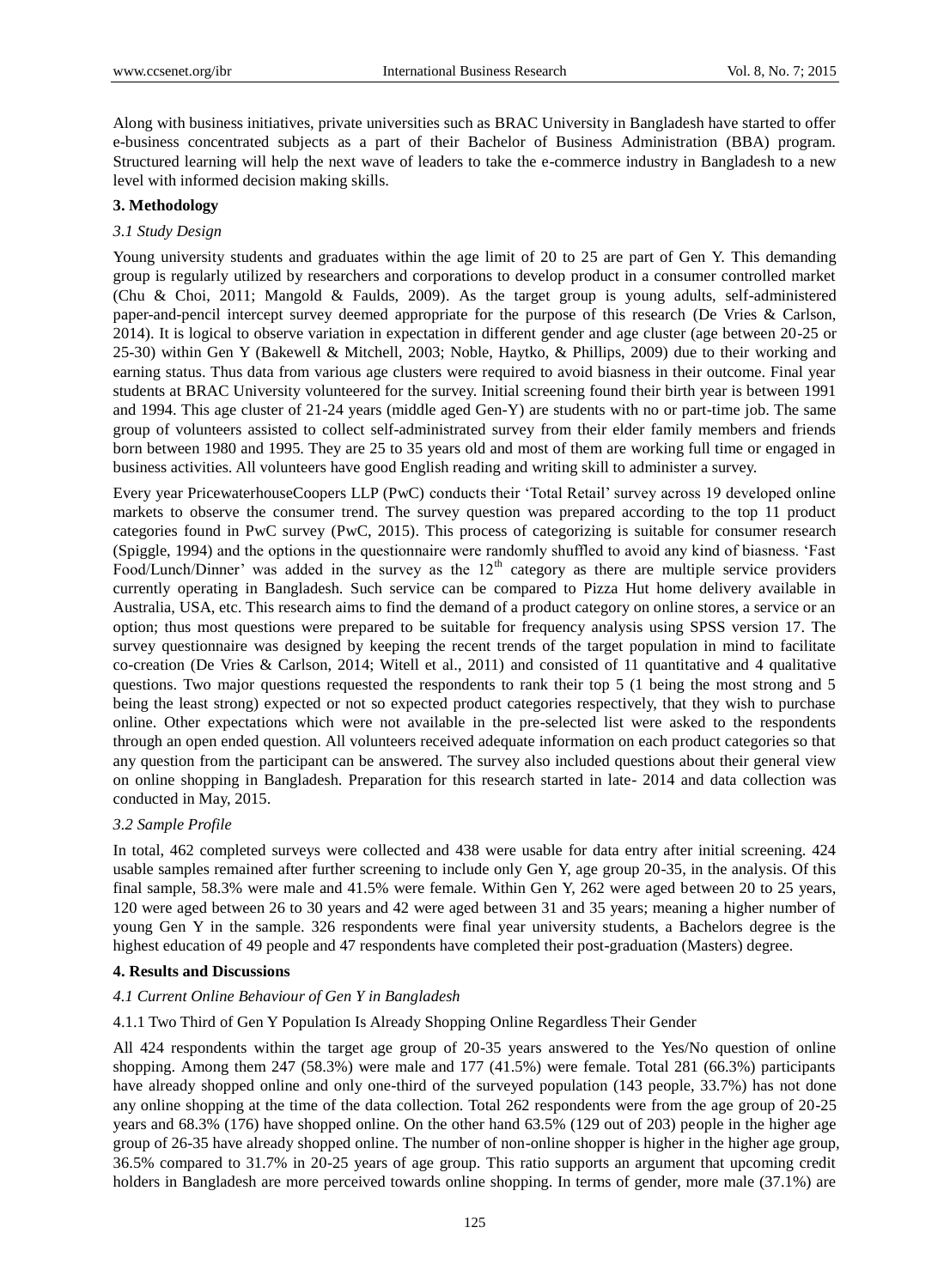Along with business initiatives, private universities such as BRAC University in Bangladesh have started to offer e-business concentrated subjects as a part of their Bachelor of Business Administration (BBA) program. Structured learning will help the next wave of leaders to take the e-commerce industry in Bangladesh to a new level with informed decision making skills.

# **3. Methodology**

# *3.1 Study Design*

Young university students and graduates within the age limit of 20 to 25 are part of Gen Y. This demanding group is regularly utilized by researchers and corporations to develop product in a consumer controlled market (Chu & Choi, 2011; Mangold & Faulds, 2009). As the target group is young adults, self-administered paper-and-pencil intercept survey deemed appropriate for the purpose of this research (De Vries & Carlson, 2014). It is logical to observe variation in expectation in different gender and age cluster (age between 20-25 or 25-30) within Gen Y (Bakewell & Mitchell, 2003; Noble, Haytko, & Phillips, 2009) due to their working and earning status. Thus data from various age clusters were required to avoid biasness in their outcome. Final year students at BRAC University volunteered for the survey. Initial screening found their birth year is between 1991 and 1994. This age cluster of 21-24 years (middle aged Gen-Y) are students with no or part-time job. The same group of volunteers assisted to collect self-administrated survey from their elder family members and friends born between 1980 and 1995. They are 25 to 35 years old and most of them are working full time or engaged in business activities. All volunteers have good English reading and writing skill to administer a survey.

Every year PricewaterhouseCoopers LLP (PwC) conducts their 'Total Retail' survey across 19 developed online markets to observe the consumer trend. The survey question was prepared according to the top 11 product categories found in PwC survey (PwC, 2015). This process of categorizing is suitable for consumer research (Spiggle, 1994) and the options in the questionnaire were randomly shuffled to avoid any kind of biasness. 'Fast Food/Lunch/Dinner' was added in the survey as the 12<sup>th</sup> category as there are multiple service providers currently operating in Bangladesh. Such service can be compared to Pizza Hut home delivery available in Australia, USA, etc. This research aims to find the demand of a product category on online stores, a service or an option; thus most questions were prepared to be suitable for frequency analysis using SPSS version 17. The survey questionnaire was designed by keeping the recent trends of the target population in mind to facilitate co-creation (De Vries & Carlson, 2014; Witell et al., 2011) and consisted of 11 quantitative and 4 qualitative questions. Two major questions requested the respondents to rank their top 5 (1 being the most strong and 5 being the least strong) expected or not so expected product categories respectively, that they wish to purchase online. Other expectations which were not available in the pre-selected list were asked to the respondents through an open ended question. All volunteers received adequate information on each product categories so that any question from the participant can be answered. The survey also included questions about their general view on online shopping in Bangladesh. Preparation for this research started in late- 2014 and data collection was conducted in May, 2015.

# *3.2 Sample Profile*

In total, 462 completed surveys were collected and 438 were usable for data entry after initial screening. 424 usable samples remained after further screening to include only Gen Y, age group 20-35, in the analysis. Of this final sample, 58.3% were male and 41.5% were female. Within Gen Y, 262 were aged between 20 to 25 years, 120 were aged between 26 to 30 years and 42 were aged between 31 and 35 years; meaning a higher number of young Gen Y in the sample. 326 respondents were final year university students, a Bachelors degree is the highest education of 49 people and 47 respondents have completed their post-graduation (Masters) degree.

# **4. Results and Discussions**

# *4.1 Current Online Behaviour of Gen Y in Bangladesh*

# 4.1.1 Two Third of Gen Y Population Is Already Shopping Online Regardless Their Gender

All 424 respondents within the target age group of 20-35 years answered to the Yes/No question of online shopping. Among them 247 (58.3%) were male and 177 (41.5%) were female. Total 281 (66.3%) participants have already shopped online and only one-third of the surveyed population (143 people, 33.7%) has not done any online shopping at the time of the data collection. Total 262 respondents were from the age group of 20-25 years and 68.3% (176) have shopped online. On the other hand 63.5% (129 out of 203) people in the higher age group of 26-35 have already shopped online. The number of non-online shopper is higher in the higher age group, 36.5% compared to 31.7% in 20-25 years of age group. This ratio supports an argument that upcoming credit holders in Bangladesh are more perceived towards online shopping. In terms of gender, more male (37.1%) are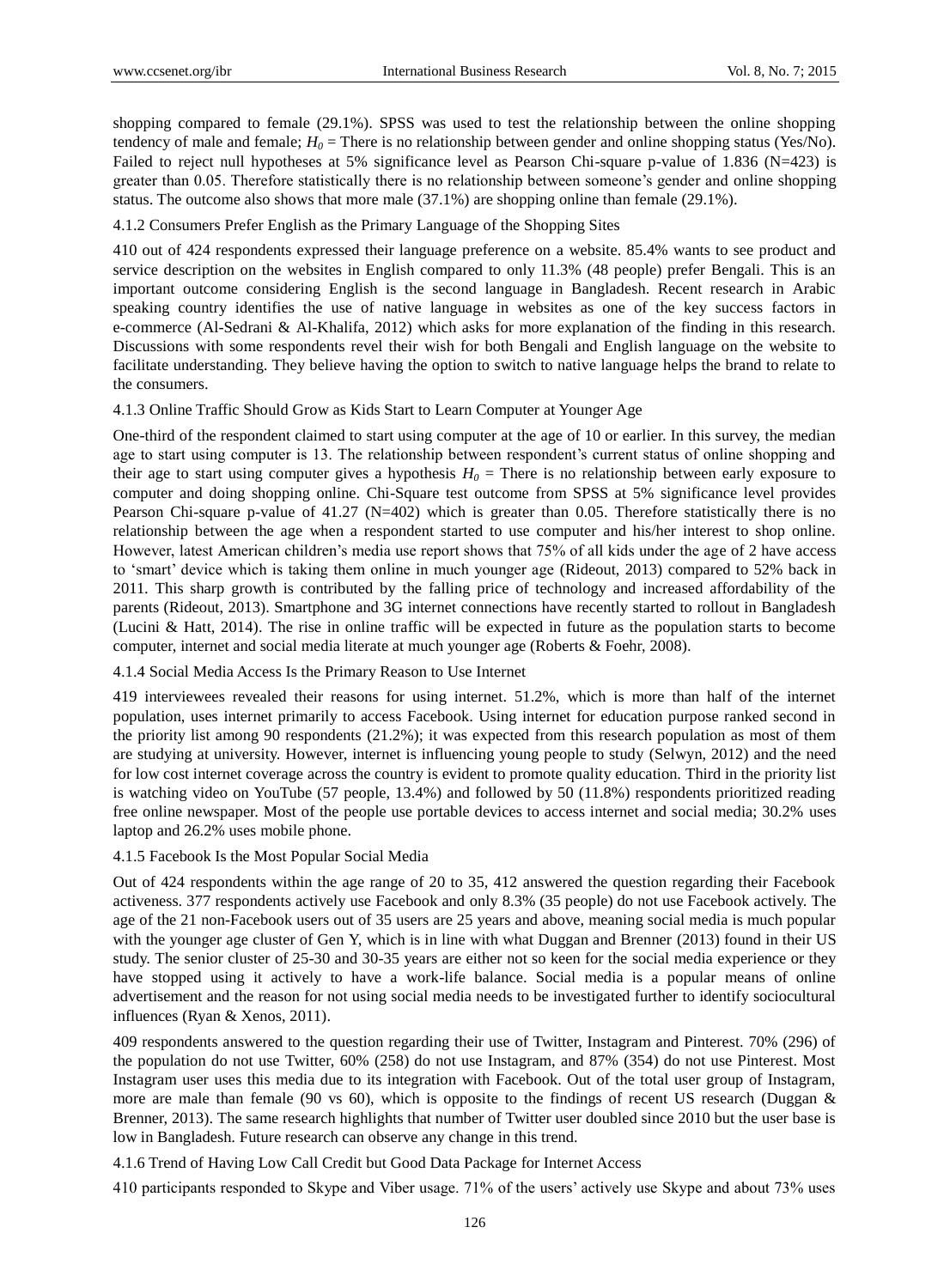shopping compared to female (29.1%). SPSS was used to test the relationship between the online shopping tendency of male and female;  $H_0$  = There is no relationship between gender and online shopping status (Yes/No). Failed to reject null hypotheses at 5% significance level as Pearson Chi-square p-value of 1.836 (N=423) is greater than 0.05. Therefore statistically there is no relationship between someone's gender and online shopping status. The outcome also shows that more male (37.1%) are shopping online than female (29.1%).

# 4.1.2 Consumers Prefer English as the Primary Language of the Shopping Sites

410 out of 424 respondents expressed their language preference on a website. 85.4% wants to see product and service description on the websites in English compared to only 11.3% (48 people) prefer Bengali. This is an important outcome considering English is the second language in Bangladesh. Recent research in Arabic speaking country identifies the use of native language in websites as one of the key success factors in e-commerce (Al-Sedrani & Al-Khalifa, 2012) which asks for more explanation of the finding in this research. Discussions with some respondents revel their wish for both Bengali and English language on the website to facilitate understanding. They believe having the option to switch to native language helps the brand to relate to the consumers.

# 4.1.3 Online Traffic Should Grow as Kids Start to Learn Computer at Younger Age

One-third of the respondent claimed to start using computer at the age of 10 or earlier. In this survey, the median age to start using computer is 13. The relationship between respondent's current status of online shopping and their age to start using computer gives a hypothesis  $H_0$  = There is no relationship between early exposure to computer and doing shopping online. Chi-Square test outcome from SPSS at 5% significance level provides Pearson Chi-square p-value of  $41.27$  (N=402) which is greater than 0.05. Therefore statistically there is no relationship between the age when a respondent started to use computer and his/her interest to shop online. However, latest American children's media use report shows that 75% of all kids under the age of 2 have access to 'smart' device which is taking them online in much younger age (Rideout, 2013) compared to 52% back in 2011. This sharp growth is contributed by the falling price of technology and increased affordability of the parents (Rideout, 2013). Smartphone and 3G internet connections have recently started to rollout in Bangladesh (Lucini & Hatt, 2014). The rise in online traffic will be expected in future as the population starts to become computer, internet and social media literate at much younger age (Roberts & Foehr, 2008).

# 4.1.4 Social Media Access Is the Primary Reason to Use Internet

419 interviewees revealed their reasons for using internet. 51.2%, which is more than half of the internet population, uses internet primarily to access Facebook. Using internet for education purpose ranked second in the priority list among 90 respondents (21.2%); it was expected from this research population as most of them are studying at university. However, internet is influencing young people to study (Selwyn, 2012) and the need for low cost internet coverage across the country is evident to promote quality education. Third in the priority list is watching video on YouTube (57 people, 13.4%) and followed by 50 (11.8%) respondents prioritized reading free online newspaper. Most of the people use portable devices to access internet and social media; 30.2% uses laptop and 26.2% uses mobile phone.

# 4.1.5 Facebook Is the Most Popular Social Media

Out of 424 respondents within the age range of 20 to 35, 412 answered the question regarding their Facebook activeness. 377 respondents actively use Facebook and only 8.3% (35 people) do not use Facebook actively. The age of the 21 non-Facebook users out of 35 users are 25 years and above, meaning social media is much popular with the younger age cluster of Gen Y, which is in line with what Duggan and Brenner (2013) found in their US study. The senior cluster of 25-30 and 30-35 years are either not so keen for the social media experience or they have stopped using it actively to have a work-life balance. Social media is a popular means of online advertisement and the reason for not using social media needs to be investigated further to identify sociocultural influences (Ryan & Xenos, 2011).

409 respondents answered to the question regarding their use of Twitter, Instagram and Pinterest. 70% (296) of the population do not use Twitter, 60% (258) do not use Instagram, and 87% (354) do not use Pinterest. Most Instagram user uses this media due to its integration with Facebook. Out of the total user group of Instagram, more are male than female (90 vs 60), which is opposite to the findings of recent US research (Duggan  $\&$ Brenner, 2013). The same research highlights that number of Twitter user doubled since 2010 but the user base is low in Bangladesh. Future research can observe any change in this trend.

4.1.6 Trend of Having Low Call Credit but Good Data Package for Internet Access

410 participants responded to Skype and Viber usage. 71% of the users' actively use Skype and about 73% uses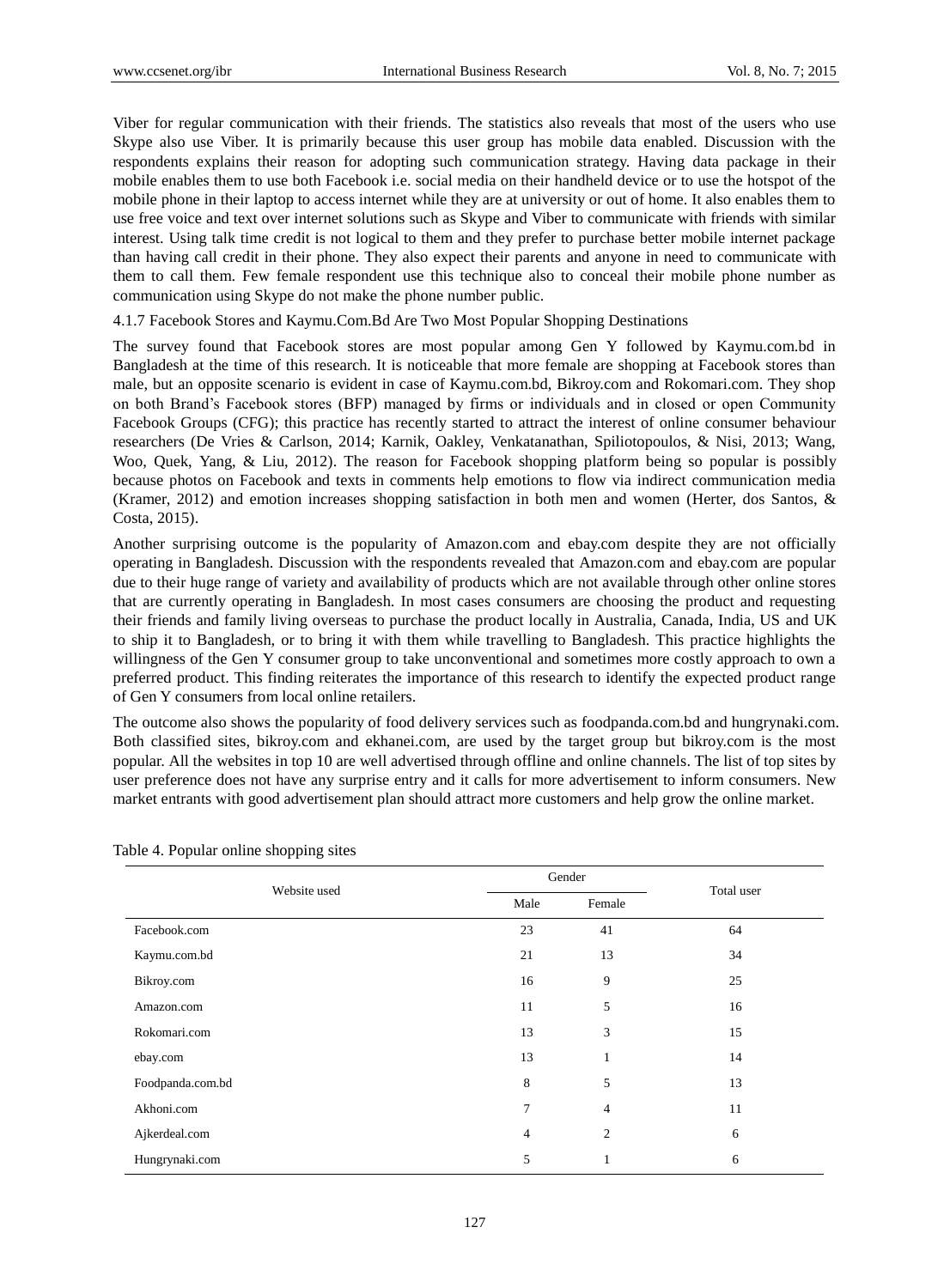Viber for regular communication with their friends. The statistics also reveals that most of the users who use Skype also use Viber. It is primarily because this user group has mobile data enabled. Discussion with the respondents explains their reason for adopting such communication strategy. Having data package in their mobile enables them to use both Facebook i.e. social media on their handheld device or to use the hotspot of the mobile phone in their laptop to access internet while they are at university or out of home. It also enables them to use free voice and text over internet solutions such as Skype and Viber to communicate with friends with similar interest. Using talk time credit is not logical to them and they prefer to purchase better mobile internet package than having call credit in their phone. They also expect their parents and anyone in need to communicate with them to call them. Few female respondent use this technique also to conceal their mobile phone number as communication using Skype do not make the phone number public.

#### 4.1.7 Facebook Stores and Kaymu.Com.Bd Are Two Most Popular Shopping Destinations

The survey found that Facebook stores are most popular among Gen Y followed by Kaymu.com.bd in Bangladesh at the time of this research. It is noticeable that more female are shopping at Facebook stores than male, but an opposite scenario is evident in case of Kaymu.com.bd, Bikroy.com and Rokomari.com. They shop on both Brand's Facebook stores (BFP) managed by firms or individuals and in closed or open Community Facebook Groups (CFG); this practice has recently started to attract the interest of online consumer behaviour researchers (De Vries & Carlson, 2014; Karnik, Oakley, Venkatanathan, Spiliotopoulos, & Nisi, 2013; Wang, Woo, Quek, Yang, & Liu, 2012). The reason for Facebook shopping platform being so popular is possibly because photos on Facebook and texts in comments help emotions to flow via indirect communication media (Kramer, 2012) and emotion increases shopping satisfaction in both men and women (Herter, dos Santos, & Costa, 2015).

Another surprising outcome is the popularity of Amazon.com and ebay.com despite they are not officially operating in Bangladesh. Discussion with the respondents revealed that Amazon.com and ebay.com are popular due to their huge range of variety and availability of products which are not available through other online stores that are currently operating in Bangladesh. In most cases consumers are choosing the product and requesting their friends and family living overseas to purchase the product locally in Australia, Canada, India, US and UK to ship it to Bangladesh, or to bring it with them while travelling to Bangladesh. This practice highlights the willingness of the Gen Y consumer group to take unconventional and sometimes more costly approach to own a preferred product. This finding reiterates the importance of this research to identify the expected product range of Gen Y consumers from local online retailers.

The outcome also shows the popularity of food delivery services such as foodpanda.com.bd and hungrynaki.com. Both classified sites, bikroy.com and ekhanei.com, are used by the target group but bikroy.com is the most popular. All the websites in top 10 are well advertised through offline and online channels. The list of top sites by user preference does not have any surprise entry and it calls for more advertisement to inform consumers. New market entrants with good advertisement plan should attract more customers and help grow the online market.

| Website used     |                | Gender         |            |
|------------------|----------------|----------------|------------|
|                  | Male           | Female         | Total user |
| Facebook.com     | 23             | 41             | 64         |
| Kaymu.com.bd     | 21             | 13             | 34         |
| Bikroy.com       | 16             | 9              | 25         |
| Amazon.com       | 11             | 5              | 16         |
| Rokomari.com     | 13             | 3              | 15         |
| ebay.com         | 13             | $\mathbf{1}$   | 14         |
| Foodpanda.com.bd | 8              | 5              | 13         |
| Akhoni.com       | $\overline{7}$ | $\overline{4}$ | 11         |
| Ajkerdeal.com    | 4              | $\overline{2}$ | 6          |
| Hungrynaki.com   | 5              | 1              | 6          |

Table 4. Popular online shopping sites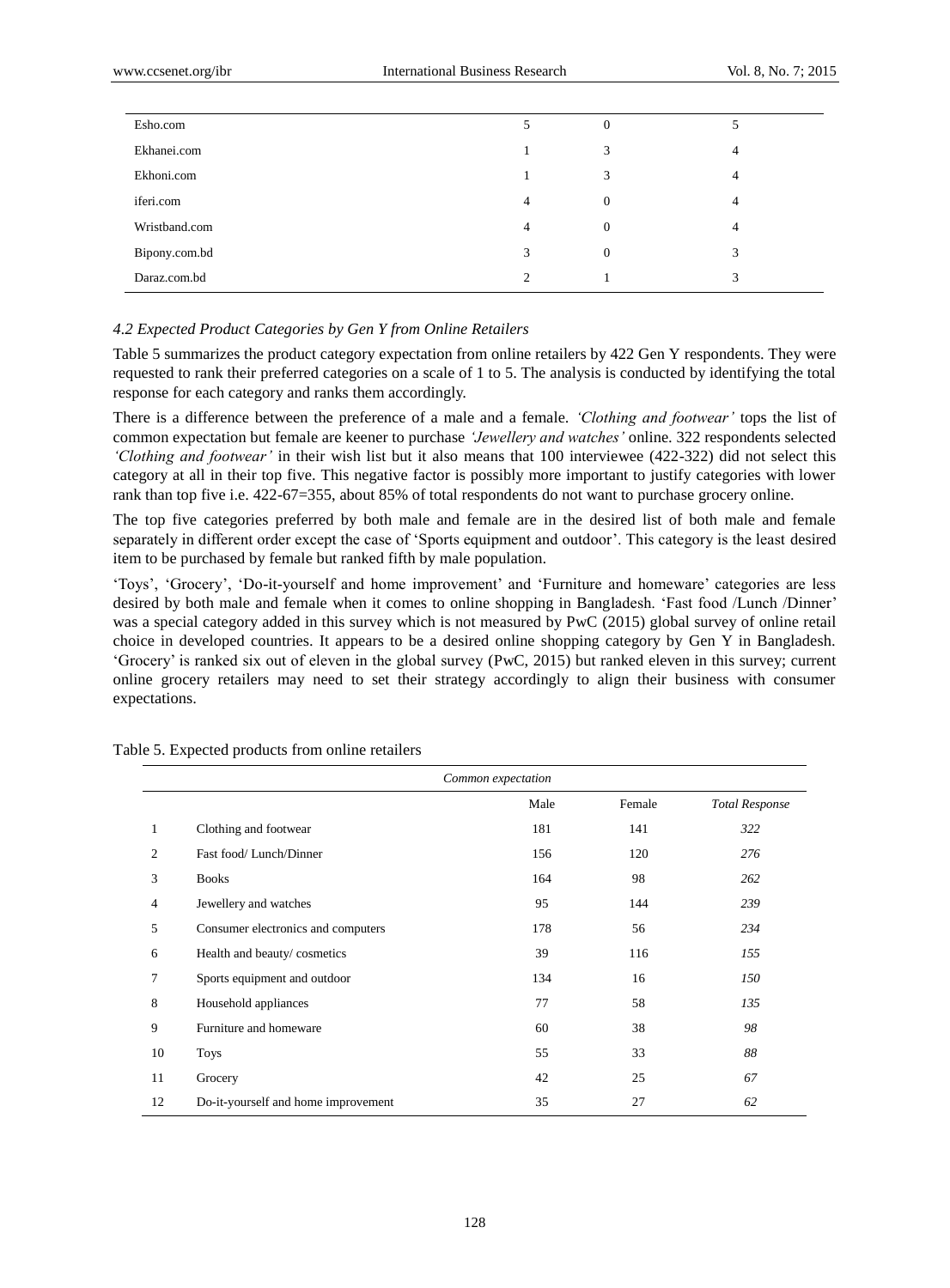| Esho.com      | 5              | $\mathbf{0}$ |                |  |
|---------------|----------------|--------------|----------------|--|
| Ekhanei.com   |                | 3            | $\overline{4}$ |  |
| Ekhoni.com    |                | 3            | $\overline{4}$ |  |
| iferi.com     | $\overline{4}$ | $\mathbf{0}$ | $\overline{4}$ |  |
| Wristband.com | $\overline{4}$ | $\mathbf{0}$ | $\overline{4}$ |  |
| Bipony.com.bd | 3              | $\mathbf{0}$ | 3              |  |
| Daraz.com.bd  | $\overline{c}$ |              | 3              |  |
|               |                |              |                |  |

#### *4.2 Expected Product Categories by Gen Y from Online Retailers*

Table 5 summarizes the product category expectation from online retailers by 422 Gen Y respondents. They were requested to rank their preferred categories on a scale of 1 to 5. The analysis is conducted by identifying the total response for each category and ranks them accordingly.

There is a difference between the preference of a male and a female. *'Clothing and footwear'* tops the list of common expectation but female are keener to purchase *'Jewellery and watches'* online. 322 respondents selected *'Clothing and footwear'* in their wish list but it also means that 100 interviewee (422-322) did not select this category at all in their top five. This negative factor is possibly more important to justify categories with lower rank than top five i.e. 422-67=355, about 85% of total respondents do not want to purchase grocery online.

The top five categories preferred by both male and female are in the desired list of both male and female separately in different order except the case of 'Sports equipment and outdoor'. This category is the least desired item to be purchased by female but ranked fifth by male population.

'Toys', 'Grocery', 'Do-it-yourself and home improvement' and 'Furniture and homeware' categories are less desired by both male and female when it comes to online shopping in Bangladesh. 'Fast food /Lunch /Dinner' was a special category added in this survey which is not measured by PwC (2015) global survey of online retail choice in developed countries. It appears to be a desired online shopping category by Gen Y in Bangladesh. 'Grocery' is ranked six out of eleven in the global survey (PwC, 2015) but ranked eleven in this survey; current online grocery retailers may need to set their strategy accordingly to align their business with consumer expectations.

|    | Common expectation                  |      |        |                       |  |  |
|----|-------------------------------------|------|--------|-----------------------|--|--|
|    |                                     | Male | Female | <b>Total Response</b> |  |  |
| 1  | Clothing and footwear               | 181  | 141    | 322                   |  |  |
| 2  | Fast food/Lunch/Dinner              | 156  | 120    | 276                   |  |  |
| 3  | <b>Books</b>                        | 164  | 98     | 262                   |  |  |
| 4  | Jewellery and watches               | 95   | 144    | 239                   |  |  |
| 5  | Consumer electronics and computers  | 178  | 56     | 234                   |  |  |
| 6  | Health and beauty/cosmetics         | 39   | 116    | 155                   |  |  |
| 7  | Sports equipment and outdoor        | 134  | 16     | 150                   |  |  |
| 8  | Household appliances                | 77   | 58     | 135                   |  |  |
| 9  | Furniture and homeware              | 60   | 38     | 98                    |  |  |
| 10 | <b>Toys</b>                         | 55   | 33     | 88                    |  |  |
| 11 | Grocery                             | 42   | 25     | 67                    |  |  |
| 12 | Do-it-yourself and home improvement | 35   | 27     | 62                    |  |  |

Table 5. Expected products from online retailers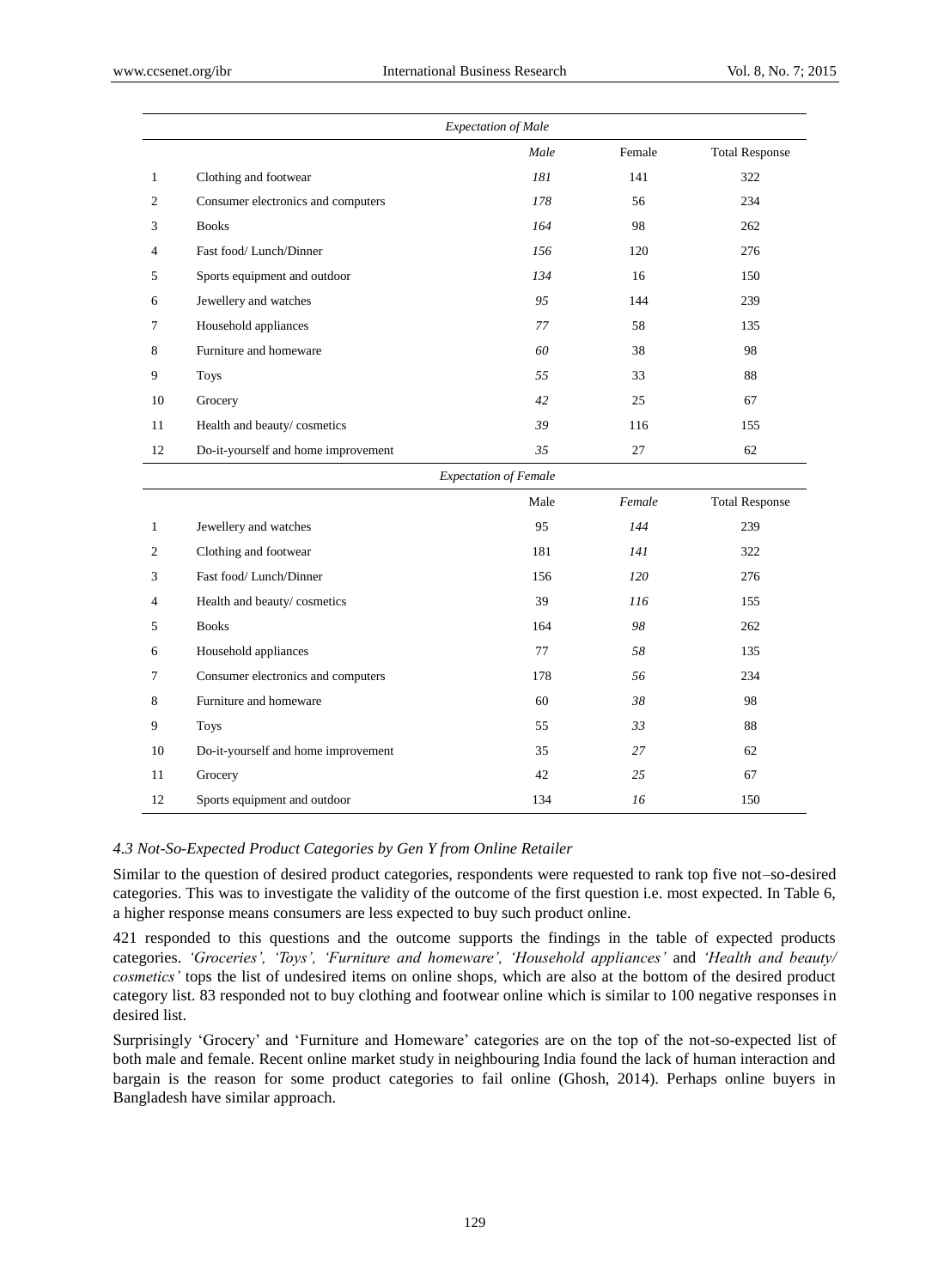|                |                                     | <b>Expectation of Male</b>   |        |                       |
|----------------|-------------------------------------|------------------------------|--------|-----------------------|
|                |                                     | Male                         | Female | <b>Total Response</b> |
| 1              | Clothing and footwear               | 181                          | 141    | 322                   |
| 2              | Consumer electronics and computers  | 178                          | 56     | 234                   |
| 3              | <b>Books</b>                        | 164                          | 98     | 262                   |
| 4              | Fast food/Lunch/Dinner              | 156                          | 120    | 276                   |
| 5              | Sports equipment and outdoor        | 134                          | 16     | 150                   |
| 6              | Jewellery and watches               | 95                           | 144    | 239                   |
| 7              | Household appliances                | 77                           | 58     | 135                   |
| 8              | Furniture and homeware              | 60                           | 38     | 98                    |
| 9              | Toys                                | 55                           | 33     | 88                    |
| 10             | Grocery                             | 42                           | 25     | 67                    |
| 11             | Health and beauty/cosmetics         | 39                           | 116    | 155                   |
| 12             | Do-it-yourself and home improvement | 35                           | 27     | 62                    |
|                |                                     | <b>Expectation of Female</b> |        |                       |
|                |                                     | Male                         | Female | <b>Total Response</b> |
| 1              | Jewellery and watches               | 95                           | 144    | 239                   |
| $\overline{c}$ | Clothing and footwear               | 181                          | 141    | 322                   |

 Fast food/ Lunch/Dinner 156 *120* 276 Health and beauty/ cosmetics 39 *116* 155 Books 164 *98* 262 Household appliances 77 *58* 135 Consumer electronics and computers 178 *56* 234 Furniture and homeware 60 *38* 98 Toys 55 *33* 88 Do-it-yourself and home improvement 35 *27* 62 Grocery 42 *25* 67 12 Sports equipment and outdoor 134 134 16 150

#### *4.3 Not-So-Expected Product Categories by Gen Y from Online Retailer*

Similar to the question of desired product categories, respondents were requested to rank top five not–so-desired categories. This was to investigate the validity of the outcome of the first question i.e. most expected. In Table 6, a higher response means consumers are less expected to buy such product online.

421 responded to this questions and the outcome supports the findings in the table of expected products categories. *'Groceries', 'Toys', 'Furniture and homeware', 'Household appliances'* and *'Health and beauty/ cosmetics'* tops the list of undesired items on online shops, which are also at the bottom of the desired product category list. 83 responded not to buy clothing and footwear online which is similar to 100 negative responses in desired list.

Surprisingly 'Grocery' and 'Furniture and Homeware' categories are on the top of the not-so-expected list of both male and female. Recent online market study in neighbouring India found the lack of human interaction and bargain is the reason for some product categories to fail online (Ghosh, 2014). Perhaps online buyers in Bangladesh have similar approach.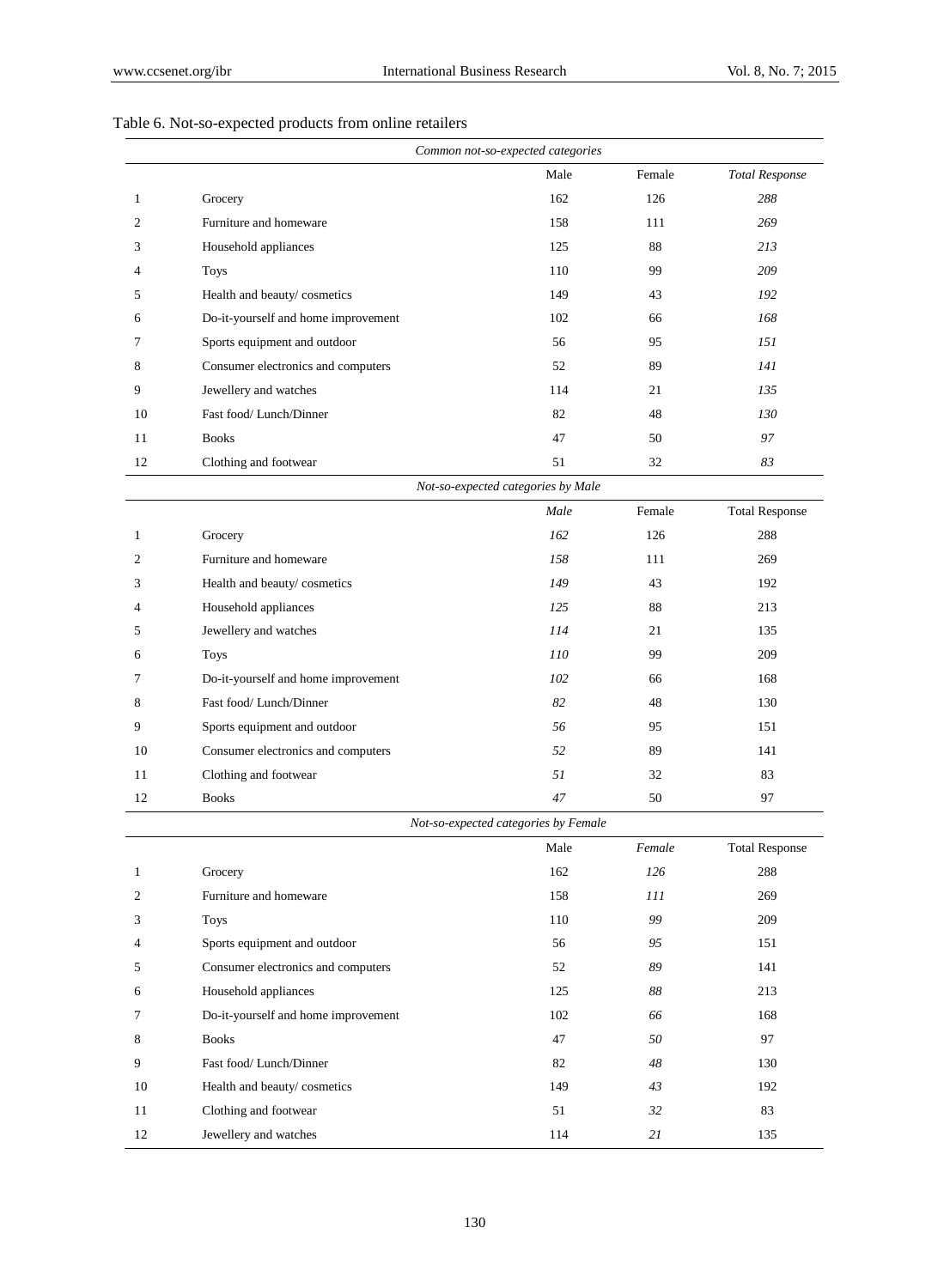# Table 6. Not-so-expected products from online retailers

|                | Common not-so-expected categories   |                                    |        |                       |  |  |
|----------------|-------------------------------------|------------------------------------|--------|-----------------------|--|--|
|                |                                     | Male                               | Female | <b>Total Response</b> |  |  |
| $\mathbf{1}$   | Grocery                             | 162                                | 126    | 288                   |  |  |
| 2              | Furniture and homeware              | 158                                | 111    | 269                   |  |  |
| 3              | Household appliances                | 125                                | 88     | 213                   |  |  |
| 4              | <b>Toys</b>                         | 110                                | 99     | 209                   |  |  |
| 5              | Health and beauty/cosmetics         | 149                                | 43     | 192                   |  |  |
| 6              | Do-it-yourself and home improvement | 102                                | 66     | 168                   |  |  |
| 7              | Sports equipment and outdoor        | 56                                 | 95     | 151                   |  |  |
| 8              | Consumer electronics and computers  | 52                                 | 89     | 141                   |  |  |
| 9              | Jewellery and watches               | 114                                | 21     | 135                   |  |  |
| 10             | Fast food/Lunch/Dinner              | 82                                 | 48     | 130                   |  |  |
| 11             | <b>Books</b>                        | 47                                 | 50     | 97                    |  |  |
| 12             | Clothing and footwear               | 51                                 | 32     | 83                    |  |  |
|                |                                     | Not-so-expected categories by Male |        |                       |  |  |
|                |                                     | Male                               | Female | <b>Total Response</b> |  |  |
| $\mathbf{1}$   | Grocery                             | 162                                | 126    | 288                   |  |  |
| 2              | Furniture and homeware              | 1.58                               | 111    | 269                   |  |  |
| 3              | Health and beauty/cosmetics         | 149                                | 43     | 192                   |  |  |
| $\overline{4}$ | Household appliances                | 12.5                               | 88     | 213                   |  |  |
| 5              | Jewellery and watches               | 114                                | 21     | 135                   |  |  |
| 6              | <b>Toys</b>                         | 110                                | 99     | 209                   |  |  |
| $\tau$         | Do-it-yourself and home improvement | 102                                | 66     | 168                   |  |  |
| 8              | Fast food/Lunch/Dinner              | 82                                 | 48     | 130                   |  |  |
| 9              | Sports equipment and outdoor        | 56                                 | 95     | 151                   |  |  |
| 10             | Consumer electronics and computers  | 52                                 | 89     | 141                   |  |  |
| 11             | Clothing and footwear               | 51                                 | 32     | 83                    |  |  |
| 12             | <b>Books</b>                        | 47                                 | 50     | 97                    |  |  |

*Not-so-expected categories by Female*

|                |                                     | Male | Female | <b>Total Response</b> |
|----------------|-------------------------------------|------|--------|-----------------------|
| 1              | Grocery                             | 162  | 126    | 288                   |
| 2              | Furniture and homeware              | 158  | 111    | 269                   |
| 3              | <b>Toys</b>                         | 110  | 99     | 209                   |
| $\overline{4}$ | Sports equipment and outdoor        | 56   | 95     | 151                   |
| 5              | Consumer electronics and computers  | 52   | 89     | 141                   |
| 6              | Household appliances                | 125  | 88     | 213                   |
| 7              | Do-it-yourself and home improvement | 102  | 66     | 168                   |
| 8              | <b>Books</b>                        | 47   | 50     | 97                    |
| 9              | Fast food/Lunch/Dinner              | 82   | 48     | 130                   |
| 10             | Health and beauty/cosmetics         | 149  | 43     | 192                   |
| 11             | Clothing and footwear               | 51   | 32     | 83                    |
| 12             | Jewellery and watches               | 114  | 21     | 135                   |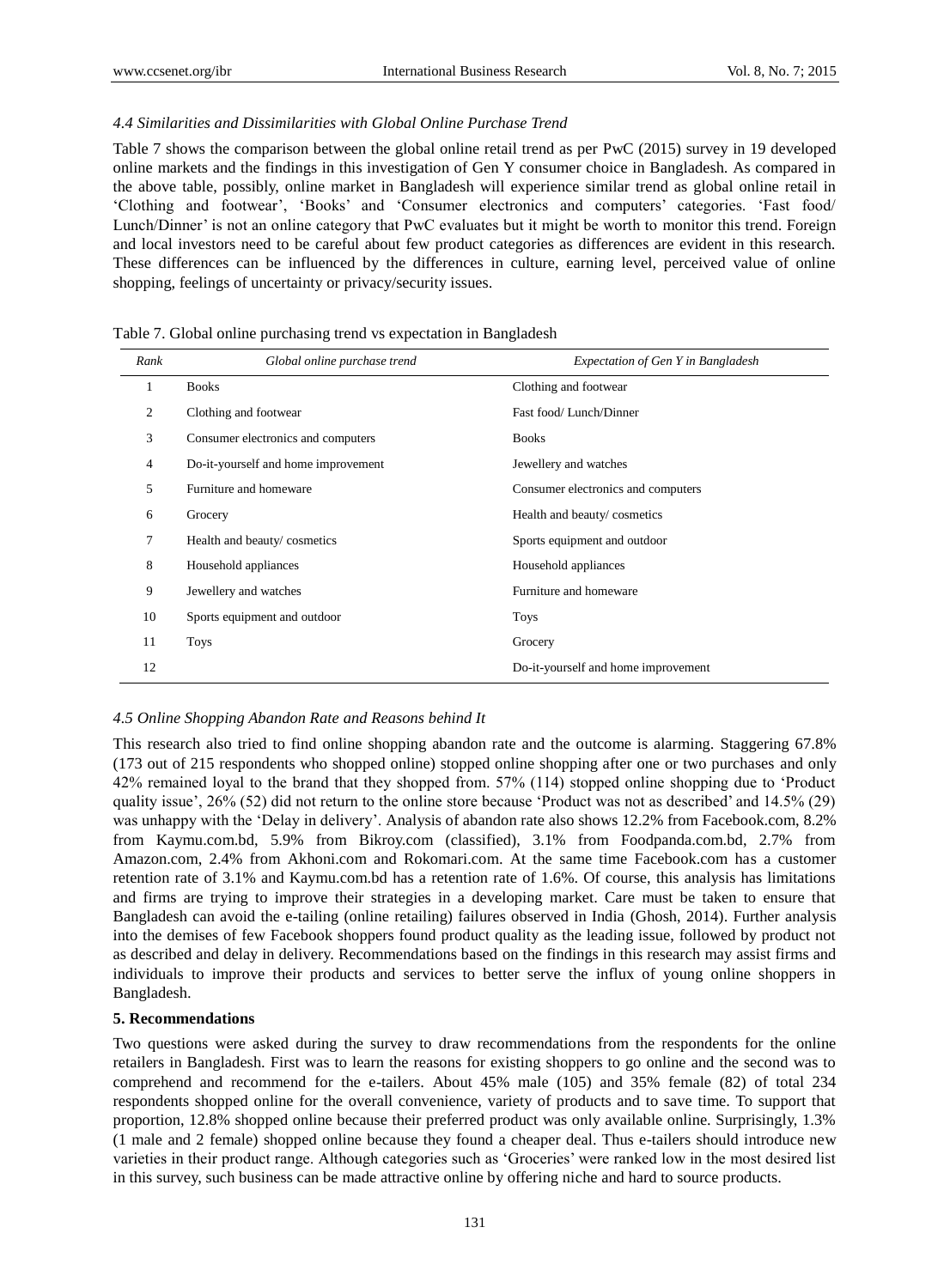### *4.4 Similarities and Dissimilarities with Global Online Purchase Trend*

Table 7 shows the comparison between the global online retail trend as per PwC (2015) survey in 19 developed online markets and the findings in this investigation of Gen Y consumer choice in Bangladesh. As compared in the above table, possibly, online market in Bangladesh will experience similar trend as global online retail in 'Clothing and footwear', 'Books' and 'Consumer electronics and computers' categories. 'Fast food/ Lunch/Dinner' is not an online category that PwC evaluates but it might be worth to monitor this trend. Foreign and local investors need to be careful about few product categories as differences are evident in this research. These differences can be influenced by the differences in culture, earning level, perceived value of online shopping, feelings of uncertainty or privacy/security issues.

| Rank | Global online purchase trend        | Expectation of Gen Y in Bangladesh  |
|------|-------------------------------------|-------------------------------------|
| 1    | <b>Books</b>                        | Clothing and footwear               |
| 2    | Clothing and footwear               | Fast food/Lunch/Dinner              |
| 3    | Consumer electronics and computers  | <b>Books</b>                        |
| 4    | Do-it-yourself and home improvement | Jewellery and watches               |
| 5    | Furniture and homeware              | Consumer electronics and computers  |
| 6    | Grocery                             | Health and beauty/cosmetics         |
| 7    | Health and beauty/cosmetics         | Sports equipment and outdoor        |
| 8    | Household appliances                | Household appliances                |
| 9    | Jewellery and watches               | Furniture and homeware              |
| 10   | Sports equipment and outdoor        | <b>Toys</b>                         |
| 11   | <b>Toys</b>                         | Grocery                             |
| 12   |                                     | Do-it-yourself and home improvement |

|  |  |  |  | Table 7. Global online purchasing trend vs expectation in Bangladesh |
|--|--|--|--|----------------------------------------------------------------------|
|  |  |  |  |                                                                      |

# *4.5 Online Shopping Abandon Rate and Reasons behind It*

This research also tried to find online shopping abandon rate and the outcome is alarming. Staggering 67.8% (173 out of 215 respondents who shopped online) stopped online shopping after one or two purchases and only 42% remained loyal to the brand that they shopped from. 57% (114) stopped online shopping due to 'Product quality issue', 26% (52) did not return to the online store because 'Product was not as described' and 14.5% (29) was unhappy with the 'Delay in delivery'. Analysis of abandon rate also shows 12.2% from Facebook.com, 8.2% from Kaymu.com.bd, 5.9% from Bikroy.com (classified), 3.1% from Foodpanda.com.bd, 2.7% from Amazon.com, 2.4% from Akhoni.com and Rokomari.com. At the same time Facebook.com has a customer retention rate of 3.1% and Kaymu.com.bd has a retention rate of 1.6%. Of course, this analysis has limitations and firms are trying to improve their strategies in a developing market. Care must be taken to ensure that Bangladesh can avoid the e-tailing (online retailing) failures observed in India (Ghosh, 2014). Further analysis into the demises of few Facebook shoppers found product quality as the leading issue, followed by product not as described and delay in delivery. Recommendations based on the findings in this research may assist firms and individuals to improve their products and services to better serve the influx of young online shoppers in Bangladesh.

# **5. Recommendations**

 $\overline{a}$ 

Two questions were asked during the survey to draw recommendations from the respondents for the online retailers in Bangladesh. First was to learn the reasons for existing shoppers to go online and the second was to comprehend and recommend for the e-tailers. About 45% male (105) and 35% female (82) of total 234 respondents shopped online for the overall convenience, variety of products and to save time. To support that proportion, 12.8% shopped online because their preferred product was only available online. Surprisingly, 1.3% (1 male and 2 female) shopped online because they found a cheaper deal. Thus e-tailers should introduce new varieties in their product range. Although categories such as 'Groceries' were ranked low in the most desired list in this survey, such business can be made attractive online by offering niche and hard to source products.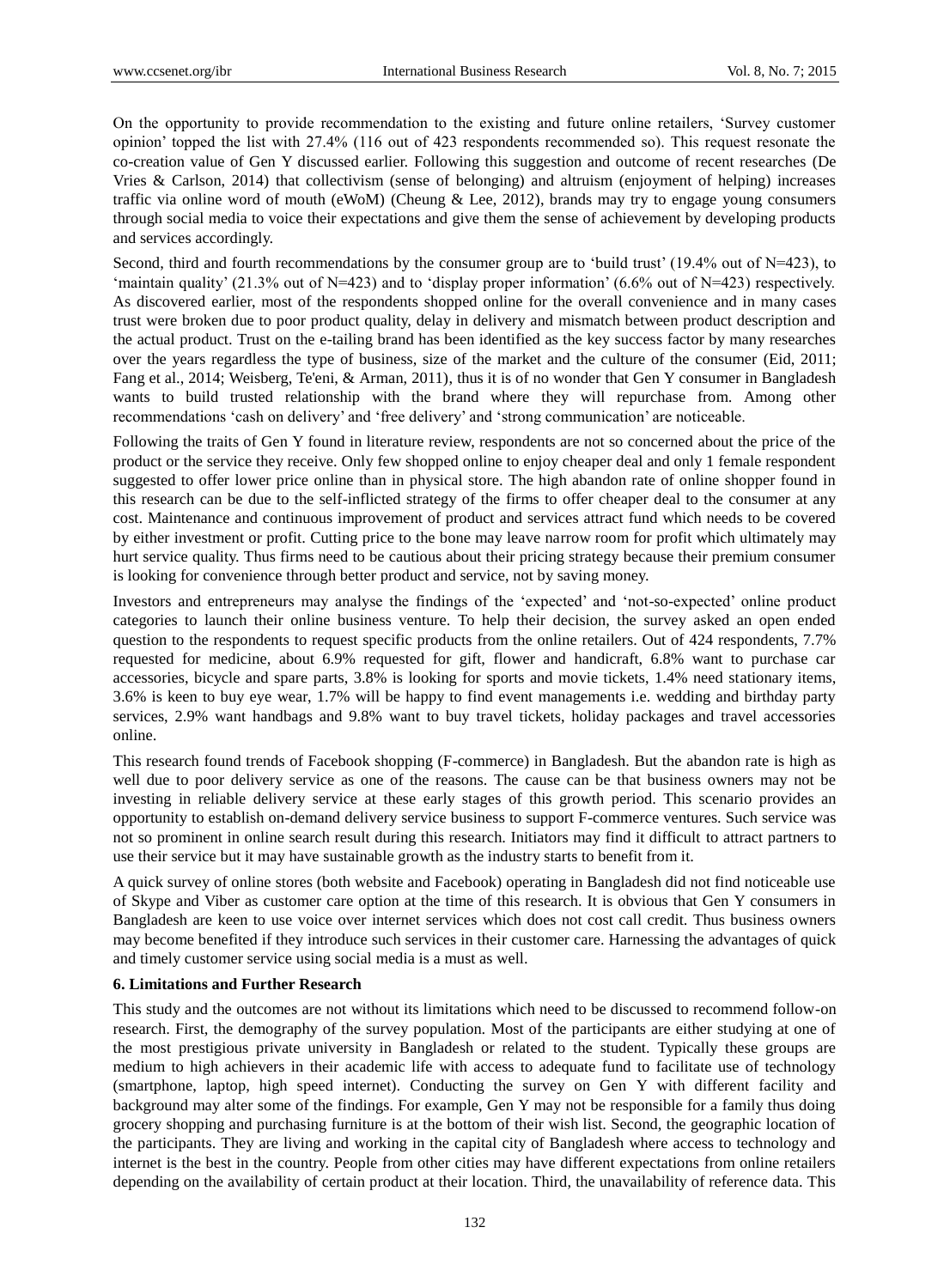On the opportunity to provide recommendation to the existing and future online retailers, 'Survey customer opinion' topped the list with 27.4% (116 out of 423 respondents recommended so). This request resonate the co-creation value of Gen Y discussed earlier. Following this suggestion and outcome of recent researches (De Vries & Carlson, 2014) that collectivism (sense of belonging) and altruism (enjoyment of helping) increases traffic via online word of mouth (eWoM) (Cheung & Lee, 2012), brands may try to engage young consumers through social media to voice their expectations and give them the sense of achievement by developing products and services accordingly.

Second, third and fourth recommendations by the consumer group are to 'build trust' (19.4% out of N=423), to 'maintain quality' (21.3% out of N=423) and to 'display proper information' (6.6% out of N=423) respectively. As discovered earlier, most of the respondents shopped online for the overall convenience and in many cases trust were broken due to poor product quality, delay in delivery and mismatch between product description and the actual product. Trust on the e-tailing brand has been identified as the key success factor by many researches over the years regardless the type of business, size of the market and the culture of the consumer (Eid, 2011; Fang et al., 2014; Weisberg, Te'eni, & Arman, 2011), thus it is of no wonder that Gen Y consumer in Bangladesh wants to build trusted relationship with the brand where they will repurchase from. Among other recommendations 'cash on delivery' and 'free delivery' and 'strong communication' are noticeable.

Following the traits of Gen Y found in literature review, respondents are not so concerned about the price of the product or the service they receive. Only few shopped online to enjoy cheaper deal and only 1 female respondent suggested to offer lower price online than in physical store. The high abandon rate of online shopper found in this research can be due to the self-inflicted strategy of the firms to offer cheaper deal to the consumer at any cost. Maintenance and continuous improvement of product and services attract fund which needs to be covered by either investment or profit. Cutting price to the bone may leave narrow room for profit which ultimately may hurt service quality. Thus firms need to be cautious about their pricing strategy because their premium consumer is looking for convenience through better product and service, not by saving money.

Investors and entrepreneurs may analyse the findings of the 'expected' and 'not-so-expected' online product categories to launch their online business venture. To help their decision, the survey asked an open ended question to the respondents to request specific products from the online retailers. Out of 424 respondents, 7.7% requested for medicine, about 6.9% requested for gift, flower and handicraft, 6.8% want to purchase car accessories, bicycle and spare parts, 3.8% is looking for sports and movie tickets, 1.4% need stationary items, 3.6% is keen to buy eye wear, 1.7% will be happy to find event managements i.e. wedding and birthday party services, 2.9% want handbags and 9.8% want to buy travel tickets, holiday packages and travel accessories online.

This research found trends of Facebook shopping (F-commerce) in Bangladesh. But the abandon rate is high as well due to poor delivery service as one of the reasons. The cause can be that business owners may not be investing in reliable delivery service at these early stages of this growth period. This scenario provides an opportunity to establish on-demand delivery service business to support F-commerce ventures. Such service was not so prominent in online search result during this research. Initiators may find it difficult to attract partners to use their service but it may have sustainable growth as the industry starts to benefit from it.

A quick survey of online stores (both website and Facebook) operating in Bangladesh did not find noticeable use of Skype and Viber as customer care option at the time of this research. It is obvious that Gen Y consumers in Bangladesh are keen to use voice over internet services which does not cost call credit. Thus business owners may become benefited if they introduce such services in their customer care. Harnessing the advantages of quick and timely customer service using social media is a must as well.

#### **6. Limitations and Further Research**

This study and the outcomes are not without its limitations which need to be discussed to recommend follow-on research. First, the demography of the survey population. Most of the participants are either studying at one of the most prestigious private university in Bangladesh or related to the student. Typically these groups are medium to high achievers in their academic life with access to adequate fund to facilitate use of technology (smartphone, laptop, high speed internet). Conducting the survey on Gen Y with different facility and background may alter some of the findings. For example, Gen Y may not be responsible for a family thus doing grocery shopping and purchasing furniture is at the bottom of their wish list. Second, the geographic location of the participants. They are living and working in the capital city of Bangladesh where access to technology and internet is the best in the country. People from other cities may have different expectations from online retailers depending on the availability of certain product at their location. Third, the unavailability of reference data. This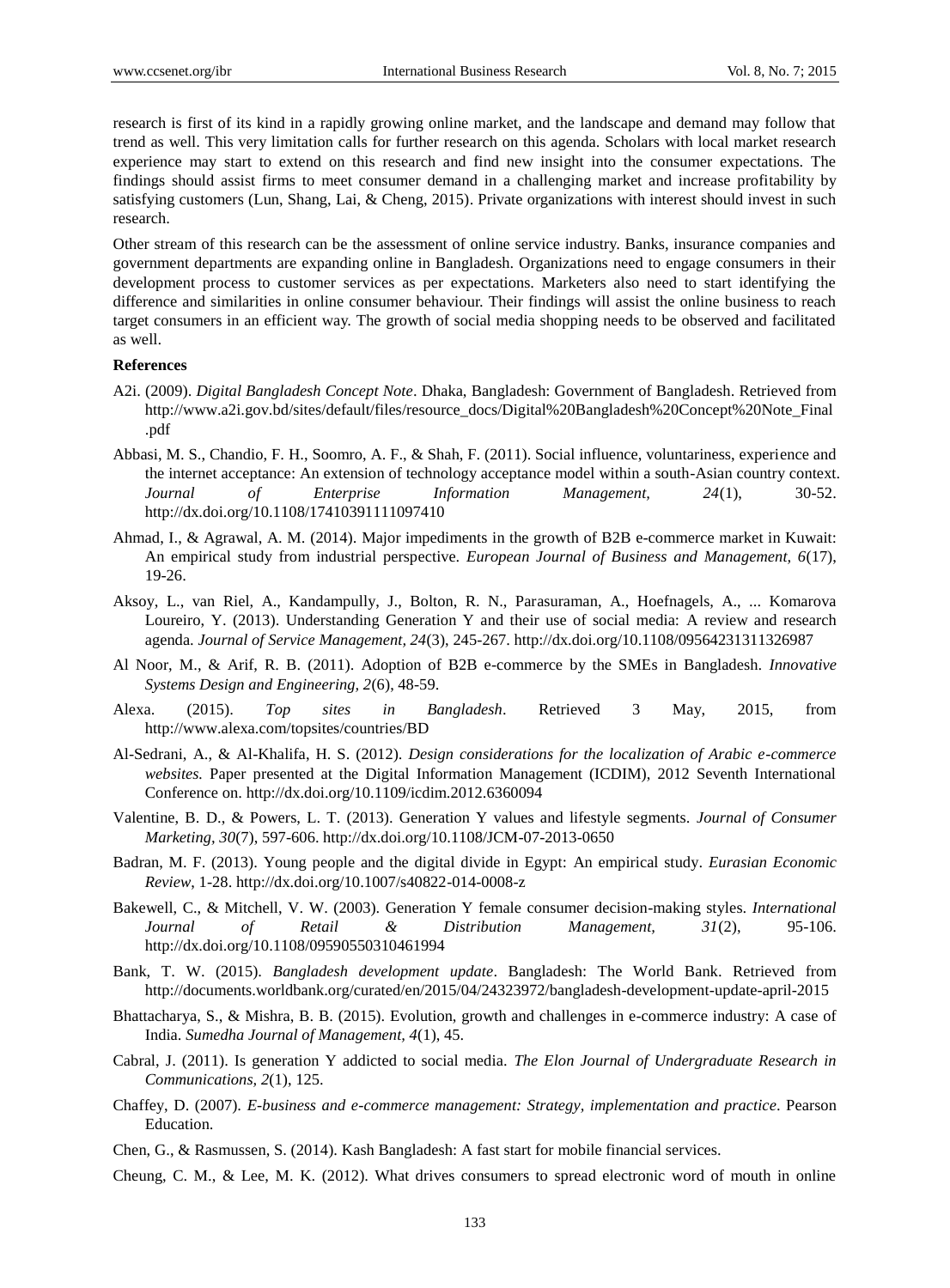research is first of its kind in a rapidly growing online market, and the landscape and demand may follow that trend as well. This very limitation calls for further research on this agenda. Scholars with local market research experience may start to extend on this research and find new insight into the consumer expectations. The findings should assist firms to meet consumer demand in a challenging market and increase profitability by satisfying customers (Lun, Shang, Lai, & Cheng, 2015). Private organizations with interest should invest in such research.

Other stream of this research can be the assessment of online service industry. Banks, insurance companies and government departments are expanding online in Bangladesh. Organizations need to engage consumers in their development process to customer services as per expectations. Marketers also need to start identifying the difference and similarities in online consumer behaviour. Their findings will assist the online business to reach target consumers in an efficient way. The growth of social media shopping needs to be observed and facilitated as well.

### **References**

- A2i. (2009). *Digital Bangladesh Concept Note*. Dhaka, Bangladesh: Government of Bangladesh. Retrieved from http://www.a2i.gov.bd/sites/default/files/resource\_docs/Digital%20Bangladesh%20Concept%20Note\_Final .pdf
- Abbasi, M. S., Chandio, F. H., Soomro, A. F., & Shah, F. (2011). Social influence, voluntariness, experience and the internet acceptance: An extension of technology acceptance model within a south-Asian country context. *Journal of Enterprise Information Management, 24*(1), 30-52. http://dx.doi.org/10.1108/17410391111097410
- Ahmad, I., & Agrawal, A. M. (2014). Major impediments in the growth of B2B e-commerce market in Kuwait: An empirical study from industrial perspective. *European Journal of Business and Management, 6*(17), 19-26.
- Aksoy, L., van Riel, A., Kandampully, J., Bolton, R. N., Parasuraman, A., Hoefnagels, A., ... Komarova Loureiro, Y. (2013). Understanding Generation Y and their use of social media: A review and research agenda. *Journal of Service Management, 24*(3), 245-267. http://dx.doi.org/10.1108/09564231311326987
- Al Noor, M., & Arif, R. B. (2011). Adoption of B2B e-commerce by the SMEs in Bangladesh. *Innovative Systems Design and Engineering, 2*(6), 48-59.
- Alexa. (2015). *Top sites in Bangladesh*. Retrieved 3 May, 2015, from http://www.alexa.com/topsites/countries/BD
- Al-Sedrani, A., & Al-Khalifa, H. S. (2012). *Design considerations for the localization of Arabic e-commerce websites.* Paper presented at the Digital Information Management (ICDIM), 2012 Seventh International Conference on. http://dx.doi.org/10.1109/icdim.2012.6360094
- Valentine, B. D., & Powers, L. T. (2013). Generation Y values and lifestyle segments. *Journal of Consumer Marketing, 30*(7), 597-606. http://dx.doi.org/10.1108/JCM-07-2013-0650
- Badran, M. F. (2013). Young people and the digital divide in Egypt: An empirical study. *Eurasian Economic Review*, 1-28. http://dx.doi.org/10.1007/s40822-014-0008-z
- Bakewell, C., & Mitchell, V. W. (2003). Generation Y female consumer decision-making styles. *International Journal of Retail & Distribution Management, 31*(2), 95-106. http://dx.doi.org/10.1108/09590550310461994
- Bank, T. W. (2015). *Bangladesh development update*. Bangladesh: The World Bank. Retrieved from http://documents.worldbank.org/curated/en/2015/04/24323972/bangladesh-development-update-april-2015
- Bhattacharya, S., & Mishra, B. B. (2015). Evolution, growth and challenges in e-commerce industry: A case of India. *Sumedha Journal of Management, 4*(1), 45.
- Cabral, J. (2011). Is generation Y addicted to social media. *The Elon Journal of Undergraduate Research in Communications, 2*(1), 125.
- Chaffey, D. (2007). *E-business and e-commerce management: Strategy, implementation and practice*. Pearson Education.
- Chen, G., & Rasmussen, S. (2014). Kash Bangladesh: A fast start for mobile financial services.

Cheung, C. M., & Lee, M. K. (2012). What drives consumers to spread electronic word of mouth in online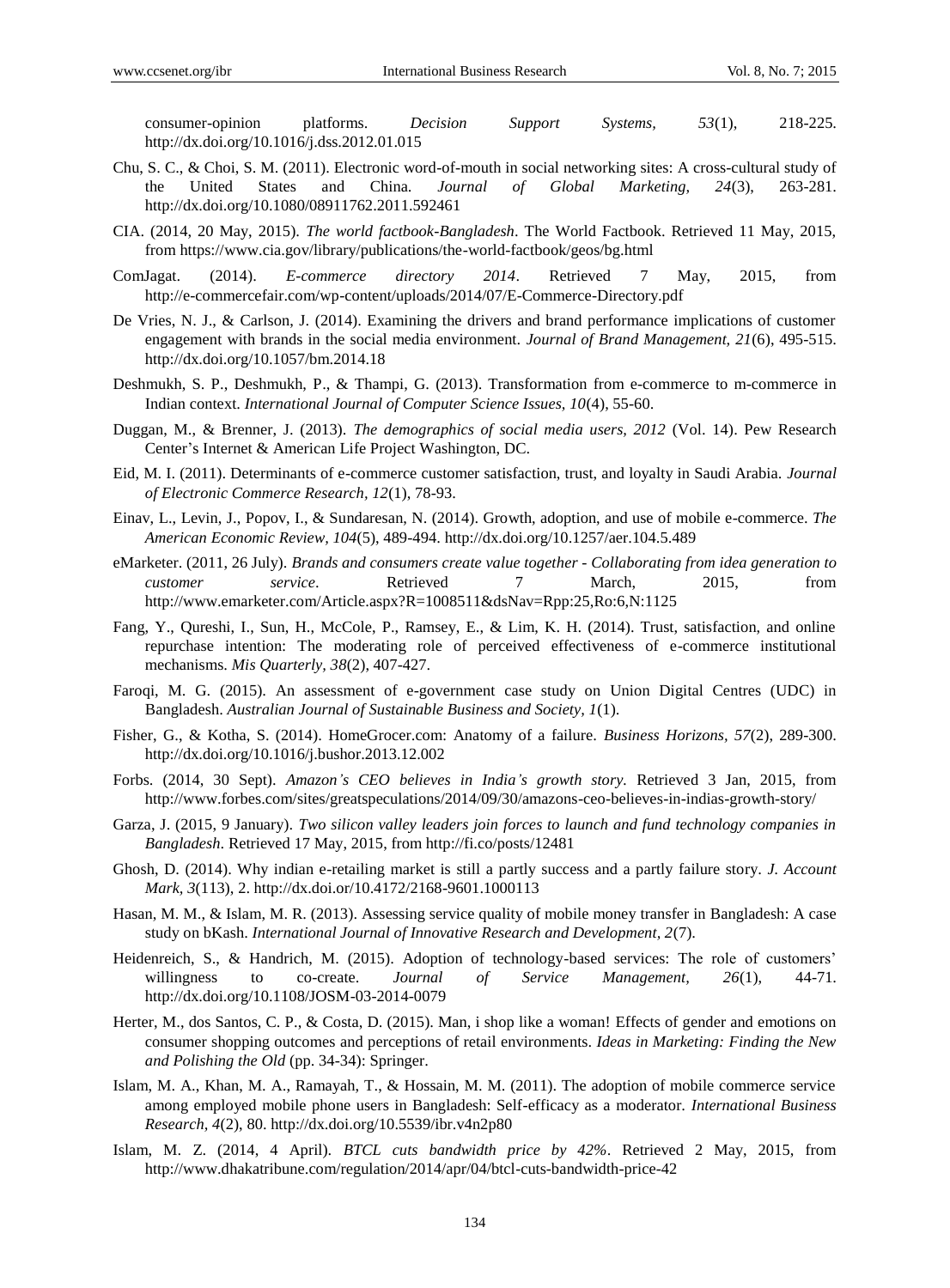consumer-opinion platforms. *Decision Support Systems, 53*(1), 218-225. http://dx.doi.org/10.1016/j.dss.2012.01.015

- Chu, S. C., & Choi, S. M. (2011). Electronic word-of-mouth in social networking sites: A cross-cultural study of the United States and China. *Journal of Global Marketing, 24*(3), 263-281. http://dx.doi.org/10.1080/08911762.2011.592461
- CIA. (2014, 20 May, 2015). *The world factbook-Bangladesh*. The World Factbook. Retrieved 11 May, 2015, from https://www.cia.gov/library/publications/the-world-factbook/geos/bg.html
- ComJagat. (2014). *E-commerce directory 2014*. Retrieved 7 May, 2015, from http://e-commercefair.com/wp-content/uploads/2014/07/E-Commerce-Directory.pdf
- De Vries, N. J., & Carlson, J. (2014). Examining the drivers and brand performance implications of customer engagement with brands in the social media environment. *Journal of Brand Management, 21*(6), 495-515. http://dx.doi.org/10.1057/bm.2014.18
- Deshmukh, S. P., Deshmukh, P., & Thampi, G. (2013). Transformation from e-commerce to m-commerce in Indian context. *International Journal of Computer Science Issues, 10*(4), 55-60.
- Duggan, M., & Brenner, J. (2013). *The demographics of social media users, 2012* (Vol. 14). Pew Research Center's Internet & American Life Project Washington, DC.
- Eid, M. I. (2011). Determinants of e-commerce customer satisfaction, trust, and loyalty in Saudi Arabia. *Journal of Electronic Commerce Research, 12*(1), 78-93.
- Einav, L., Levin, J., Popov, I., & Sundaresan, N. (2014). Growth, adoption, and use of mobile e-commerce. *The American Economic Review, 104*(5), 489-494. http://dx.doi.org/10.1257/aer.104.5.489
- eMarketer. (2011, 26 July). *Brands and consumers create value together - Collaborating from idea generation to customer service*. Retrieved 7 March, 2015, from http://www.emarketer.com/Article.aspx?R=1008511&dsNav=Rpp:25,Ro:6,N:1125
- Fang, Y., Qureshi, I., Sun, H., McCole, P., Ramsey, E., & Lim, K. H. (2014). Trust, satisfaction, and online repurchase intention: The moderating role of perceived effectiveness of e-commerce institutional mechanisms. *Mis Quarterly, 38*(2), 407-427.
- Faroqi, M. G. (2015). An assessment of e-government case study on Union Digital Centres (UDC) in Bangladesh. *Australian Journal of Sustainable Business and Society, 1*(1).
- Fisher, G., & Kotha, S. (2014). HomeGrocer.com: Anatomy of a failure. *Business Horizons, 57*(2), 289-300. http://dx.doi.org/10.1016/j.bushor.2013.12.002
- Forbs. (2014, 30 Sept). *Amazon's CEO believes in India's growth story.* Retrieved 3 Jan, 2015, from http://www.forbes.com/sites/greatspeculations/2014/09/30/amazons-ceo-believes-in-indias-growth-story/
- Garza, J. (2015, 9 January). *Two silicon valley leaders join forces to launch and fund technology companies in Bangladesh*. Retrieved 17 May, 2015, from http://fi.co/posts/12481
- Ghosh, D. (2014). Why indian e-retailing market is still a partly success and a partly failure story. *J. Account Mark, 3*(113), 2. http://dx.doi.or/10.4172/2168-9601.1000113
- Hasan, M. M., & Islam, M. R. (2013). Assessing service quality of mobile money transfer in Bangladesh: A case study on bKash. *International Journal of Innovative Research and Development, 2*(7).
- Heidenreich, S., & Handrich, M. (2015). Adoption of technology-based services: The role of customers' willingness to co-create. *Journal of Service Management, 26*(1), 44-71. http://dx.doi.org/10.1108/JOSM-03-2014-0079
- Herter, M., dos Santos, C. P., & Costa, D. (2015). Man, i shop like a woman! Effects of gender and emotions on consumer shopping outcomes and perceptions of retail environments. *Ideas in Marketing: Finding the New and Polishing the Old* (pp. 34-34): Springer.
- Islam, M. A., Khan, M. A., Ramayah, T., & Hossain, M. M. (2011). The adoption of mobile commerce service among employed mobile phone users in Bangladesh: Self-efficacy as a moderator. *International Business Research, 4*(2), 80. http://dx.doi.org/10.5539/ibr.v4n2p80
- Islam, M. Z. (2014, 4 April). *BTCL cuts bandwidth price by 42%*. Retrieved 2 May, 2015, from http://www.dhakatribune.com/regulation/2014/apr/04/btcl-cuts-bandwidth-price-42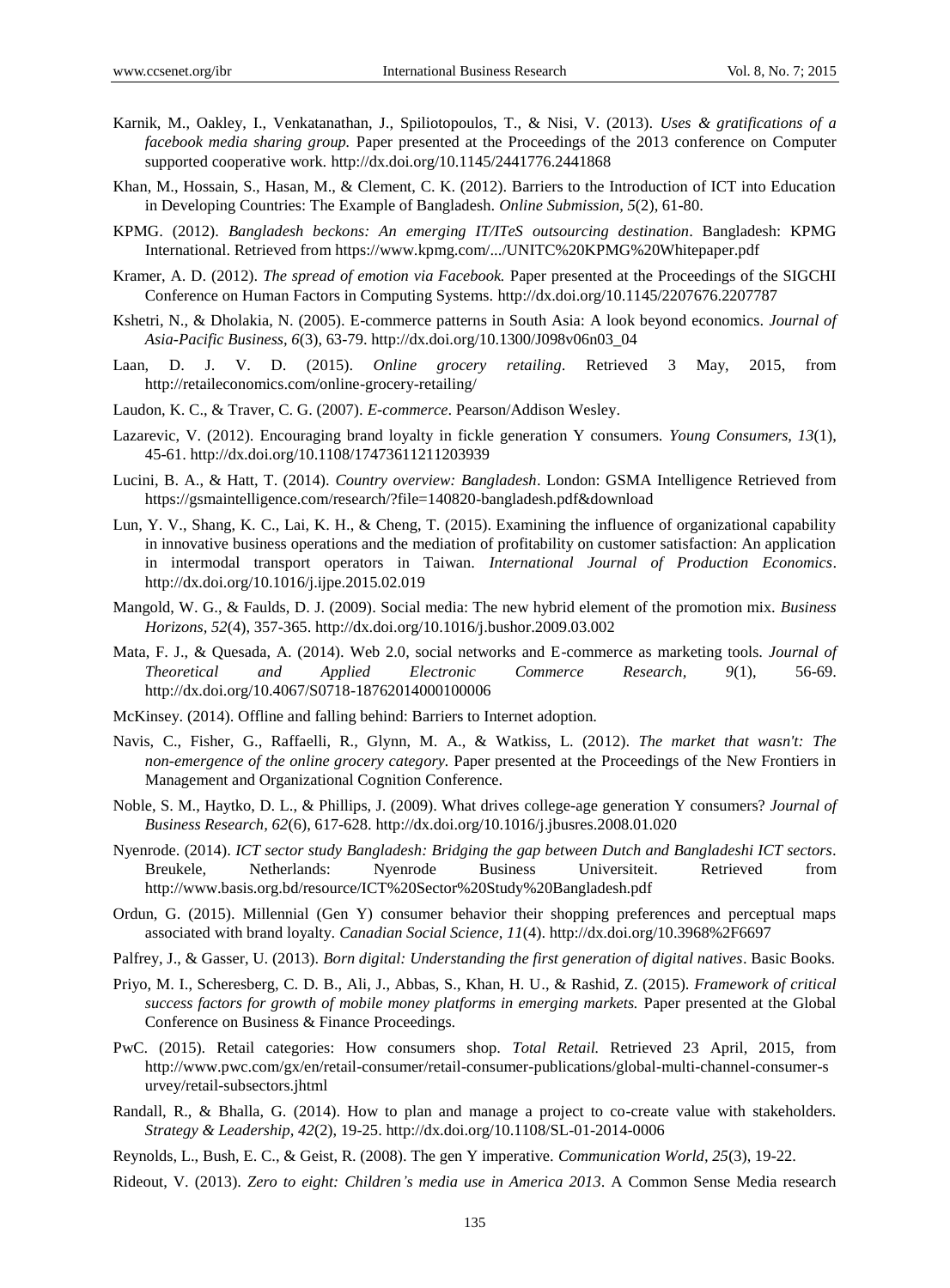- Karnik, M., Oakley, I., Venkatanathan, J., Spiliotopoulos, T., & Nisi, V. (2013). *Uses & gratifications of a facebook media sharing group.* Paper presented at the Proceedings of the 2013 conference on Computer supported cooperative work. http://dx.doi.org/10.1145/2441776.2441868
- Khan, M., Hossain, S., Hasan, M., & Clement, C. K. (2012). Barriers to the Introduction of ICT into Education in Developing Countries: The Example of Bangladesh. *Online Submission, 5*(2), 61-80.
- KPMG. (2012). *Bangladesh beckons: An emerging IT/ITeS outsourcing destination*. Bangladesh: KPMG International. Retrieved from https://www.kpmg.com/.../UNITC%20KPMG%20Whitepaper.pdf
- Kramer, A. D. (2012). *The spread of emotion via Facebook.* Paper presented at the Proceedings of the SIGCHI Conference on Human Factors in Computing Systems. http://dx.doi.org/10.1145/2207676.2207787
- Kshetri, N., & Dholakia, N. (2005). E-commerce patterns in South Asia: A look beyond economics. *Journal of Asia-Pacific Business, 6*(3), 63-79. http://dx.doi.org/10.1300/J098v06n03\_04
- Laan, D. J. V. D. (2015). *Online grocery retailing*. Retrieved 3 May, 2015, from http://retaileconomics.com/online-grocery-retailing/
- Laudon, K. C., & Traver, C. G. (2007). *E-commerce*. Pearson/Addison Wesley.
- Lazarevic, V. (2012). Encouraging brand loyalty in fickle generation Y consumers. *Young Consumers, 13*(1), 45-61. http://dx.doi.org/10.1108/17473611211203939
- Lucini, B. A., & Hatt, T. (2014). *Country overview: Bangladesh*. London: GSMA Intelligence Retrieved from https://gsmaintelligence.com/research/?file=140820-bangladesh.pdf&download
- Lun, Y. V., Shang, K. C., Lai, K. H., & Cheng, T. (2015). Examining the influence of organizational capability in innovative business operations and the mediation of profitability on customer satisfaction: An application in intermodal transport operators in Taiwan. *International Journal of Production Economics*. http://dx.doi.org/10.1016/j.ijpe.2015.02.019
- Mangold, W. G., & Faulds, D. J. (2009). Social media: The new hybrid element of the promotion mix. *Business Horizons, 52*(4), 357-365. http://dx.doi.org/10.1016/j.bushor.2009.03.002
- Mata, F. J., & Quesada, A. (2014). Web 2.0, social networks and E-commerce as marketing tools. *Journal of Theoretical and Applied Electronic Commerce Research, 9*(1), 56-69. http://dx.doi.org/10.4067/S0718-18762014000100006
- McKinsey. (2014). Offline and falling behind: Barriers to Internet adoption.
- Navis, C., Fisher, G., Raffaelli, R., Glynn, M. A., & Watkiss, L. (2012). *The market that wasn't: The non-emergence of the online grocery category.* Paper presented at the Proceedings of the New Frontiers in Management and Organizational Cognition Conference.
- Noble, S. M., Haytko, D. L., & Phillips, J. (2009). What drives college-age generation Y consumers? *Journal of Business Research, 62*(6), 617-628. http://dx.doi.org/10.1016/j.jbusres.2008.01.020
- Nyenrode. (2014). *ICT sector study Bangladesh: Bridging the gap between Dutch and Bangladeshi ICT sectors*. Breukele, Netherlands: Nyenrode Business Universiteit. Retrieved from http://www.basis.org.bd/resource/ICT%20Sector%20Study%20Bangladesh.pdf
- Ordun, G. (2015). Millennial (Gen Y) consumer behavior their shopping preferences and perceptual maps associated with brand loyalty. *Canadian Social Science, 11*(4). http://dx.doi.org/10.3968%2F6697
- Palfrey, J., & Gasser, U. (2013). *Born digital: Understanding the first generation of digital natives*. Basic Books.
- Priyo, M. I., Scheresberg, C. D. B., Ali, J., Abbas, S., Khan, H. U., & Rashid, Z. (2015). *Framework of critical success factors for growth of mobile money platforms in emerging markets.* Paper presented at the Global Conference on Business & Finance Proceedings.
- PwC. (2015). Retail categories: How consumers shop. *Total Retail.* Retrieved 23 April, 2015, from http://www.pwc.com/gx/en/retail-consumer/retail-consumer-publications/global-multi-channel-consumer-s urvey/retail-subsectors.jhtml
- Randall, R., & Bhalla, G. (2014). How to plan and manage a project to co-create value with stakeholders. *Strategy & Leadership, 42*(2), 19-25. http://dx.doi.org/10.1108/SL-01-2014-0006
- Reynolds, L., Bush, E. C., & Geist, R. (2008). The gen Y imperative. *Communication World, 25*(3), 19-22.
- Rideout, V. (2013). *Zero to eight: Children's media use in America 2013*. A Common Sense Media research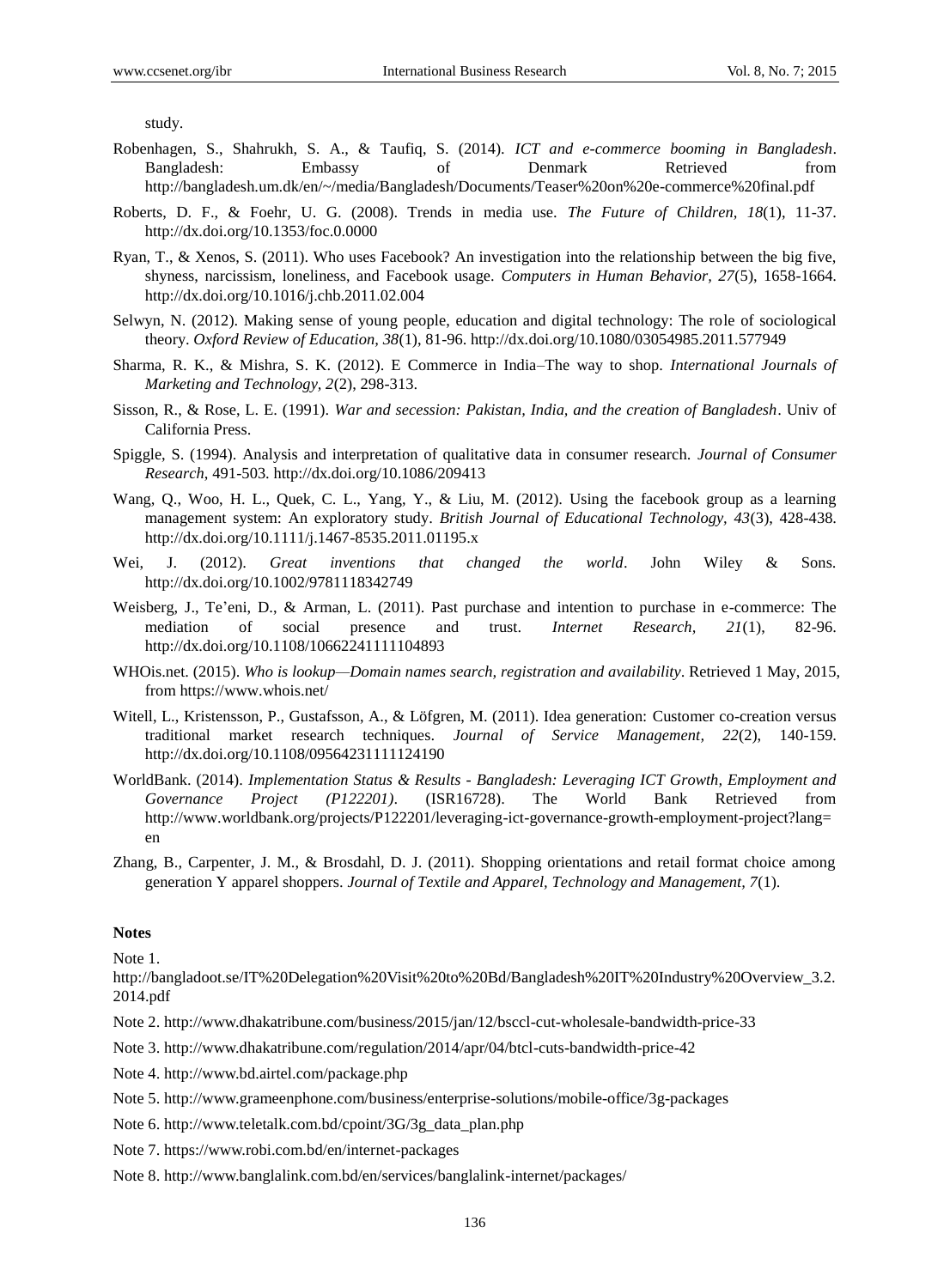study.

- Robenhagen, S., Shahrukh, S. A., & Taufiq, S. (2014). *ICT and e-commerce booming in Bangladesh*. Bangladesh: Embassy of Denmark Retrieved from http://bangladesh.um.dk/en/~/media/Bangladesh/Documents/Teaser%20on%20e-commerce%20final.pdf
- Roberts, D. F., & Foehr, U. G. (2008). Trends in media use. *The Future of Children, 18*(1), 11-37. http://dx.doi.org/10.1353/foc.0.0000
- Ryan, T., & Xenos, S. (2011). Who uses Facebook? An investigation into the relationship between the big five, shyness, narcissism, loneliness, and Facebook usage. *Computers in Human Behavior, 27*(5), 1658-1664. http://dx.doi.org/10.1016/j.chb.2011.02.004
- Selwyn, N. (2012). Making sense of young people, education and digital technology: The role of sociological theory. *Oxford Review of Education, 38*(1), 81-96. http://dx.doi.org/10.1080/03054985.2011.577949
- Sharma, R. K., & Mishra, S. K. (2012). E Commerce in India–The way to shop. *International Journals of Marketing and Technology, 2*(2), 298-313.
- Sisson, R., & Rose, L. E. (1991). *War and secession: Pakistan, India, and the creation of Bangladesh*. Univ of California Press.
- Spiggle, S. (1994). Analysis and interpretation of qualitative data in consumer research. *Journal of Consumer Research*, 491-503. http://dx.doi.org/10.1086/209413
- Wang, Q., Woo, H. L., Quek, C. L., Yang, Y., & Liu, M. (2012). Using the facebook group as a learning management system: An exploratory study. *British Journal of Educational Technology, 43*(3), 428-438. http://dx.doi.org/10.1111/j.1467-8535.2011.01195.x
- Wei, J. (2012). *Great inventions that changed the world*. John Wiley & Sons. http://dx.doi.org/10.1002/9781118342749
- Weisberg, J., Te'eni, D., & Arman, L. (2011). Past purchase and intention to purchase in e-commerce: The mediation of social presence and trust. *Internet Research, 21*(1), 82-96. http://dx.doi.org/10.1108/10662241111104893
- WHOis.net. (2015). *Who is lookup—Domain names search, registration and availability*. Retrieved 1 May, 2015, from https://www.whois.net/
- Witell, L., Kristensson, P., Gustafsson, A., & Löfgren, M. (2011). Idea generation: Customer co-creation versus traditional market research techniques. *Journal of Service Management, 22*(2), 140-159. http://dx.doi.org/10.1108/09564231111124190
- WorldBank. (2014). *Implementation Status & Results - Bangladesh: Leveraging ICT Growth, Employment and Governance Project (P122201)*. (ISR16728). The World Bank Retrieved from http://www.worldbank.org/projects/P122201/leveraging-ict-governance-growth-employment-project?lang= en
- Zhang, B., Carpenter, J. M., & Brosdahl, D. J. (2011). Shopping orientations and retail format choice among generation Y apparel shoppers. *Journal of Textile and Apparel, Technology and Management, 7*(1).

#### **Notes**

Note 1.

http://bangladoot.se/IT%20Delegation%20Visit%20to%20Bd/Bangladesh%20IT%20Industry%20Overview\_3.2. 2014.pdf

- Note 2. http://www.dhakatribune.com/business/2015/jan/12/bsccl-cut-wholesale-bandwidth-price-33
- Note 3. http://www.dhakatribune.com/regulation/2014/apr/04/btcl-cuts-bandwidth-price-42
- Note 4. http://www.bd.airtel.com/package.php
- Note 5. http://www.grameenphone.com/business/enterprise-solutions/mobile-office/3g-packages
- Note 6. http://www.teletalk.com.bd/cpoint/3G/3g\_data\_plan.php
- Note 7. https://www.robi.com.bd/en/internet-packages
- Note 8. http://www.banglalink.com.bd/en/services/banglalink-internet/packages/